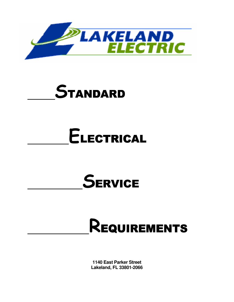

# **STANDARD**

# ELECTRICAL

# **SERVICE**

# REQUIREMENTS

**1140 East Parker Street Lakeland, FL 33801-2066**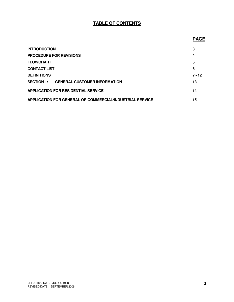### **TABLE OF CONTENTS**

#### *PAGE* PAGE AND INTERNATIONAL CONTINUES

| <b>INTRODUCTION</b>                                      | 3        |
|----------------------------------------------------------|----------|
| <b>PROCEDURE FOR REVISIONS</b>                           | 4        |
| <b>FLOWCHART</b>                                         | 5        |
| <b>CONTACT LIST</b>                                      | 6        |
| <b>DEFINITIONS</b>                                       | $7 - 12$ |
| <b>GENERAL CUSTOMER INFORMATION</b><br><b>SECTION 1:</b> | 13       |
| <b>APPLICATION FOR RESIDENTIAL SERVICE</b>               | 14       |
| APPLICATION FOR GENERAL OR COMMERCIAL/INDUSTRIAL SERVICE | 15       |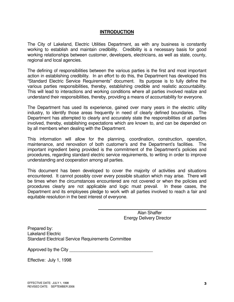#### **INTRODUCTION**

The City of Lakeland, Electric Utilities Department, as with any business is constantly working to establish and maintain credibility. Credibility is a necessary basis for good working relationships between customer, developers, electricians, as well as state, county, regional and local agencies.

The defining of responsibilities between the various parties is the first and most important action in establishing credibility. In an effort to do this, the Department has developed this "Standard Electric Service Requirements" document. Its purpose is to fully define the various parties responsibilities, thereby, establishing credible and realistic accountability. This will lead to interactions and working conditions where all parties involved realize and understand their responsibilities, thereby, providing a means of accountability for everyone.

The Department has used its experience, gained over many years in the electric utility industry, to identify those areas frequently in need of clearly defined boundaries. The Department has attempted to clearly and accurately state the responsibilities of all parties involved, thereby, establishing expectations which are known to, and can be depended on by all members when dealing with the Department.

This information will allow for the planning, coordination, construction, operation, maintenance, and renovation of both customer's and the Department's facilities. The important ingredient being provided is the commitment of the Department's policies and procedures, regarding standard electric service requirements, to writing in order to improve understanding and cooperation among all parties.

This document has been developed to cover the majority of activities and situations encountered. It cannot possibly cover every possible situation which may arise. There will be times when the circumstances encountered are not covered or when the policies and procedures clearly are not applicable and logic must prevail. In these cases, the Department and its employees pledge to work with all parties involved to reach a fair and equitable resolution in the best interest of everyone.

> Alan Shaffer Energy Delivery Director

 $\mathcal{L}_\text{max} = \mathcal{L}_\text{max} = \mathcal{L}_\text{max} = \mathcal{L}_\text{max} = \mathcal{L}_\text{max} = \mathcal{L}_\text{max} = \mathcal{L}_\text{max}$ 

Prepared by: Lakeland Electric Standard Electrical Service Requirements Committee

Approved by the City

Effective: July 1, 1998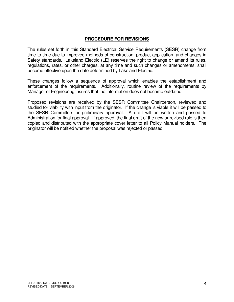#### **PROCEDURE FOR REVISIONS**

The rules set forth in this Standard Electrical Service Requirements (SESR) change from time to time due to improved methods of construction, product application, and changes in Safety standards. Lakeland Electric (LE) reserves the right to change or amend its rules, regulations, rates, or other charges, at any time and such changes or amendments, shall become effective upon the date determined by Lakeland Electric.

These changes follow a sequence of approval which enables the establishment and enforcement of the requirements. Additionally, routine review of the requirements by Manager of Engineering insures that the information does not become outdated.

Proposed revisions are received by the SESR Committee Chairperson, reviewed and studied for viability with input from the originator. If the change is viable it will be passed to the SESR Committee for preliminary approval. A draft will be written and passed to Administration for final approval. If approved, the final draft of the new or revised rule is then copied and distributed with the appropriate cover letter to all Policy Manual holders. The originator will be notified whether the proposal was rejected or passed.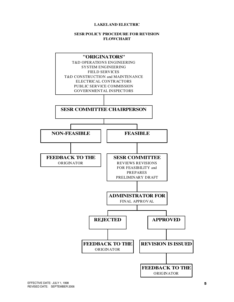#### **LAKELAND ELECTRIC**

#### **SESR POLICY PROCEDURE FOR REVISION FLOWCHART**

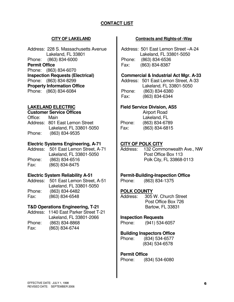### **CONTACT LIST**

Address: 228 S. Massachusetts Avenue Lakeland, FL 33801 Phone: (863) 834-6000 **Permit Office**  Phone: (863) 834-6070 **Inspection Requests (Electrical)**  Phone: (863) 834-8299 **Property Information Office**  Phone: (863) 834-6084

#### **LAKELAND ELECTRIC**

#### **Customer Service Offices**

Office: Main Address: 801 East Lemon Street Lakeland, FL 33801-5050 Phone: (863) 834-9535

#### **Electric Systems Engineering, A-71**

Address: 501 East Lemon Street, A-71 Lakeland, FL 33801-5050 Phone: (863) 834-6516 Fax: (863) 834-8475

#### **Electric System Reliability A-51**

Address: 501 East Lemon Street, A-51 Lakeland, FL 33801-5050<br>Phone: (863) 834-6482 Phone: (863) 834-6482 Fax: (863) 834-6548

#### **T&D Operations Engineering, T-21**

Address: 1140 East Parker Street T-21 Lakeland, FL 33801-2066 Phone: (863) 834-8868 Fax: (863) 834-6744

#### **CITY OF LAKELAND Contracts and Rights-of -Way**

Address: 501 East Lemon Street –A-24 Lakeland, FL 33801-5050 Phone: (863) 834-6536 Fax: (863) 834-8387

#### **Commercial & Industrial Act Mgr. A-33**

Address: 501 East Lemon Street, A-33 Lakeland, FL 33801-5050 Phone: (863) 834-6380 Fax: (863) 834-6344

#### **Field Service Division, AS5**

 Airport Road Lakeland, FL Phone: (863) 834-6789 Fax: (863) 834-6815

#### **CITY OF POLK CITY**

Address: 132 Commonwealth Ave., NW Post Office Box 113 Polk City, FL 33868-0113

#### **Permit-Building-Inspection Office**

Phone: (863) 834-1375

#### **POLK COUNTY**

Address: 305 W. Church Street Post Office Box 726 Bartow, FL 33831

#### **Inspection Requests**

Phone: (941) 534-6057

#### **Building Inspectors Office**

Phone: (834) 534-6577 (834) 534-6578

#### **Permit Office**

Phone: (834) 534-6080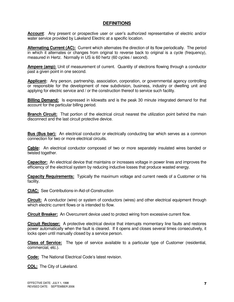#### **DEFINITIONS**

**Account:** Any present or prospective user or user's authorized representative of electric and/or water service provided by Lakeland Electric at a specific location.

**Alternating Current (AC):** Current which alternates the direction of its flow periodically. The period in which it alternates or changes from original to reverse back to original is a cycle (frequency), measured in Hertz. Normally in US is 60 hertz (60 cycles / second).

**Ampere (amp):** Unit of measurement of current. Quantity of electrons flowing through a conductor past a given point in one second.

**Applicant:** Any person, partnership, association, corporation, or governmental agency controlling or responsible for the development of new subdivision, business, industry or dwelling unit and applying for electric service and / or the construction thereof to service such facility.

**Billing Demand:** Is expressed in kilowatts and is the peak 30 minute integrated demand for that account for the particular billing period.

**Branch Circuit:** That portion of the electrical circuit nearest the utilization point behind the main disconnect and the last circuit protective device.

**Bus (Bus bar):** An electrical conductor or electrically conducting bar which serves as a common connection for two or more electrical circuits.

**Cable:** An electrical conductor composed of two or more separately insulated wires banded or twisted together.

**Capacitor:** An electrical device that maintains or increases voltage in power lines and improves the efficiency of the electrical system by reducing inductive losses that produce wasted energy.

**Capacity Requirements:** Typically the maximum voltage and current needs of a Customer or his facility.

**CIAC:** See Contributions-in-Aid-of-Construction

**Circuit:** A conductor (wire) or system of conductors (wires) and other electrical equipment through which electric current flows or is intended to flow.

**Circuit Breaker:** An Overcurrent device used to protect wiring from excessive current flow.

**Circuit Recloser:** A protective electrical device that interrupts momentary line faults and restores power automatically when the fault is cleared. If it opens and closes several times consecutively, it locks open until manually closed by a service person.

**Class of Service:** The type of service available to a particular type of Customer (residential, commercial, etc.).

**Code:** The National Electrical Code's latest revision.

**COL:** The City of Lakeland.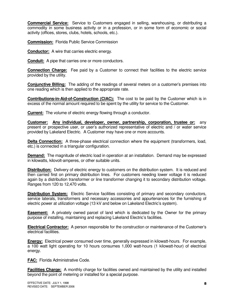**Commercial Service:** Service to Customers engaged in selling, warehousing, or distributing a commodity in some business activity or in a profession, or in some form of economic or social activity (offices, stores, clubs, hotels, schools, etc.).

**Commission:** Florida Public Service Commission

**Conductor:** A wire that carries electric energy.

**Conduit:** A pipe that carries one or more conductors.

**Connection Charge:** Fee paid by a Customer to connect their facilities to the electric service provided by the utility.

**Conjunctive Billing:** The adding of the readings of several meters on a customer's premises into one reading which is then applied to the appropriate rate.

**Contributions-in-Aid-of-Construction (CIAC):** The cost to be paid by the Customer which is in excess of the normal amount required to be spent by the utility for service to the Customer.

**Current:** The volume of electric energy flowing through a conductor.

**Customer: Any individual, developer, owner, partnership, corporation, trustee or:** any present or prospective user, or user's authorized representative of electric and / or water service provided by Lakeland Electric. A Customer may have one or more accounts.

**Delta Connection:** A three-phase electrical connection where the equipment (transformers, load, etc.) is connected in a triangular configuration.

**Demand:** The magnitude of electric load in operation at an installation. Demand may be expressed in kilowatts, kilovolt-amperes, or other suitable units.

**Distribution:** Delivery of electric energy to customers on the distribution system. It is reduced and then carried first on primary distribution lines. For customers needing lower voltage it is reduced again by a distribution transformer or line transformer changing it to secondary distribution voltage. Ranges from 120 to 12,470 volts.

**Distribution System:** Electric Service facilities consisting of primary and secondary conductors, service laterals, transformers and necessary accessories and appurtenances for the furnishing of electric power at utilization voltage (13 kV and below on Lakeland Electric's system).

**Easement:** A privately owned parcel of land which is dedicated by the Owner for the primary purpose of installing, maintaining and replacing Lakeland Electric's facilities.

**Electrical Contractor:** A person responsible for the construction or maintenance of the Customer's electrical facilities.

**Energy:** Electrical power consumed over time, generally expressed in kilowatt-hours. For example, a 100 watt light operating for 10 hours consumes 1,000 watt-hours (1 kilowatt-hour) of electrical energy.

**FAC:** Florida Administrative Code.

**Facilities Charge:** A monthly charge for facilities owned and maintained by the utility and installed beyond the point of metering or installed for a special purpose.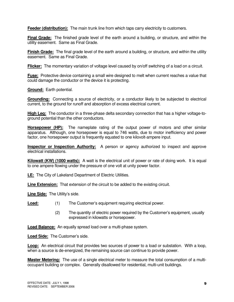**Feeder (distribution):** The main trunk line from which taps carry electricity to customers.

**Final Grade:** The finished grade level of the earth around a building, or structure, and within the utility easement. Same as Final Grade.

**Finish Grade:** The final grade level of the earth around a building, or structure, and within the utility easement. Same as Final Grade.

**Flicker:** The momentary variation of voltage level caused by on/off switching of a load on a circuit.

**Fuse:** Protective device containing a small wire designed to melt when current reaches a value that could damage the conductor or the device it is protecting.

**Ground:** Earth potential.

**Grounding:** Connecting a source of electricity, or a conductor likely to be subjected to electrical current, to the ground for runoff and absorption of excess electrical current.

**High Leg:** The conductor in a three-phase delta secondary connection that has a higher voltage-toground potential than the other conductors.

**Horsepower (HP):** The nameplate rating of the output power of motors and other similar apparatus. Although, one horsepower is equal to 746 watts, due to motor inefficiency and power factor, one horsepower output is frequently equated to one kilovolt-ampere input.

**Inspector or Inspection Authority:** A person or agency authorized to inspect and approve electrical installations.

**Kilowatt (KW) (1000 watts):** A watt is the electrical unit of power or rate of doing work. It is equal to one ampere flowing under the pressure of one volt at unity power factor.

**LE:** The City of Lakeland Department of Electric Utilities.

**Line Extension:** That extension of the circuit to be added to the existing circuit.

**Line Side:** The Utility's side.

- **Load:** (1) The Customer's equipment requiring electrical power.
	- (2) The quantity of electric power required by the Customer's equipment, usually expressed in kilowatts or horsepower.

**Load Balance:** An equally spread load over a multi-phase system.

**Load Side:** The Customer's side.

**Loop:** An electrical circuit that provides two sources of power to a load or substation. With a loop, when a source is de-energized, the remaining source can continue to provide power.

**Master Metering:** The use of a single electrical meter to measure the total consumption of a multioccupant building or complex. Generally disallowed for residential, multi-unit buildings.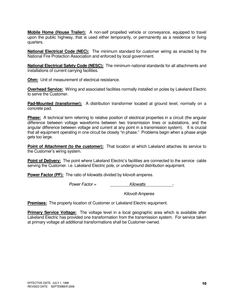**Mobile Home (House Trailer):** A non-self propelled vehicle or conveyance, equipped to travel upon the public highway, that is used either temporarily, or permanently as a residence or living quarters.

**National Electrical Code (NEC):** The minimum standard for customer wiring as enacted by the National Fire Protection Association and enforced by local government.

**National Electrical Safety Code (NESC):** The minimum national standards for all attachments and installations of current carrying facilities.

**Ohm:** Unit of measurement of electrical resistance.

**Overhead Service:** Wiring and associated facilities normally installed on poles by Lakeland Electric to serve the Customer.

**Pad-Mounted (transformer):** A distribution transformer located at ground level, normally on a concrete pad.

**Phase:** A technical term referring to relative position of electrical properties in a circuit (the angular difference between voltage waveforms between two transmission lines or substations, and the angular difference between voltage and current at any point in a transmission system). It is crucial that all equipment operating in one circuit be closely "in phase." Problems begin when a phase angle gets too large.

**Point of Attachment (to the customer):** That location at which Lakeland attaches its service to the Customer's wiring system.

**Point of Delivery:** The point where Lakeland Electric's facilities are connected to the service cable serving the Customer. i.e. Lakeland Electric pole, or underground distribution equipment.

**Power Factor (PF):** The ratio of kilowatts divided by kilovolt-amperes.

 $Power Factor =$  Kilowatts

Kilovolt-Amperes

**Premises:** The property location of Customer or Lakeland Electric equipment.

**Primary Service Voltage:** The voltage level in a local geographic area which is available after Lakeland Electric has provided one transformation from the transmission system. For service taken at primary voltage all additional transformations shall be Customer-owned.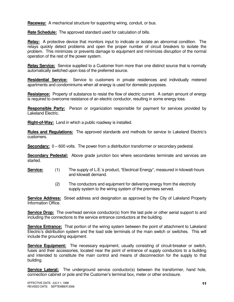**Raceway:** A mechanical structure for supporting wiring, conduit, or bus.

**Rate Schedule:** The approved standard used for calculation of bills.

**Relay:** A protective device that monitors input to indicate or isolate an abnormal condition. The relays quickly detect problems and open the proper number of circuit breakers to isolate the problem. This minimizes or prevents damage to equipment and minimizes disruption of the normal operation of the rest of the power system.

**Relay Service:** Service supplied to a Customer from more than one distinct source that is normally automatically switched upon loss of the preferred source.

**Residential Service:** Service to customers in private residences and individually metered apartments and condominiums when all energy is used for domestic purposes.

**Resistance:** Property of substance to resist the flow of electric current. A certain amount of energy is required to overcome resistance of an electric conductor, resulting in some energy loss.

**Responsible Party:** Person or organization responsible for payment for services provided by Lakeland Electric.

**Right-of-Way:** Land in which a public roadway is installed.

**Rules and Regulations:** The approved standards and methods for service to Lakeland Electric's customers.

**Secondary:**  $0 - 600$  volts. The power from a distribution transformer or secondary pedestal.

**Secondary Pedestal:** Above grade junction box where secondaries terminate and services are started.

- **Service:** (1) The supply of L.E.'s product, "Electrical Energy", measured in kilowatt-hours and kilowatt demand.
	- (2) The conductors and equipment for delivering energy from the electricity supply system to the wiring system of the premises served.

**Service Address:** Street address and designation as approved by the City of Lakeland Property Information Office.

**Service Drop:** The overhead service conductor(s) from the last pole or other aerial support to and including the connections to the service entrance conductors at the building.

**Service Entrance:** That portion of the wiring system between the point of attachment to Lakeland Electric's distribution system and the load side terminals of the main switch or switches. This will include the grounding equipment.

**Service Equipment:** The necessary equipment, usually consisting of circuit-breaker or switch, fuses and their accessories, located near the point of entrance of supply conductors to a building and intended to constitute the main control and means of disconnection for the supply to that building.

**Service Lateral:** The underground service conductor(s) between the transformer, hand hole, connection cabinet or pole and the Customer's terminal box, meter or other enclosure.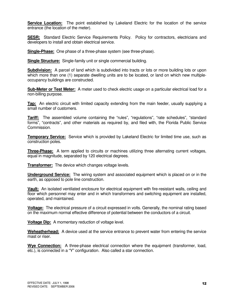**Service Location:** The point established by Lakeland Electric for the location of the service entrance (the location of the meter).

**SESR:** Standard Electric Service Requirements Policy. Policy for contractors, electricians and developers to install and obtain electrical service.

**Single-Phase:** One phase of a three-phase system (see three-phase).

**Single Structure:** Single-family unit or single commercial building.

**Subdivision:** A parcel of land which is subdivided into tracts or lots or more building lots or upon which more than one (1) separate dwelling units are to be located, or land on which new multipleoccupancy buildings are constructed.

**Sub-Meter or Test Meter:** A meter used to check electric usage on a particular electrical load for a non-billing purpose.

**Tap:** An electric circuit with limited capacity extending from the main feeder, usually supplying a small number of customers.

**Tariff:** The assembled volume containing the "rules", "regulations", "rate schedules", "standard forms", "contracts", and other materials as required by, and filed with, the Florida Public Service Commission.

**Temporary Service:** Service which is provided by Lakeland Electric for limited time use, such as construction poles.

**Three-Phase:** A term applied to circuits or machines utilizing three alternating current voltages, equal in magnitude, separated by 120 electrical degrees.

**Transformer:** The device which changes voltage levels.

**Underground Service:** The wiring system and associated equipment which is placed on or in the earth, as opposed to pole line construction.

**Vault:** An isolated ventilated enclosure for electrical equipment with fire-resistant walls, ceiling and floor which personnel may enter and in which transformers and switching equipment are installed, operated, and maintained.

**Voltage:** The electrical pressure of a circuit expressed in volts. Generally, the nominal rating based on the maximum normal effective difference of potential between the conductors of a circuit.

**Voltage Dip:** A momentary reduction of voltage level.

**Weheatherhead:** A device used at the service entrance to prevent water from entering the service mast or riser.

**Wye Connection:** A three-phase electrical connection where the equipment (transformer, load, etc.), is connected in a "Y" configuration. Also called a star connection.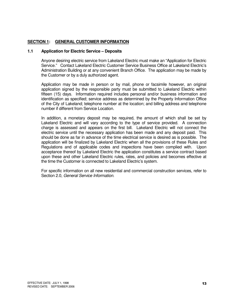#### **SECTION 1: GENERAL CUSTOMER INFORMATION**

#### **1.1 Application for Electric Service – Deposits**

Anyone desiring electric service from Lakeland Electric must make an "Application for Electric Service." Contact Lakeland Electric Customer Service Business Office at Lakeland Electric's Administration Building or at any convenient Branch Office. The application may be made by the Customer or by a duly authorized agent.

 Application may be made in person or by mail, phone or facsimile however, an original application signed by the responsible party must be submitted to Lakeland Electric within fifteen (15) days. Information required includes personal and/or business information and identification as specified; service address as determined by the Property Information Office of the City of Lakeland; telephone number at the location; and billing address and telephone number if different from Service Location.

 In addition, a monetary deposit may be required, the amount of which shall be set by Lakeland Electric and will vary according to the type of service provided. A connection charge is assessed and appears on the first bill. Lakeland Electric will not connect the electric service until the necessary application has been made and any deposit paid. This should be done as far in advance of the time electrical service is desired as is possible. The application will be finalized by Lakeland Electric when all the provisions of these Rules and Regulations and of applicable codes and inspections have been complied with. Upon acceptance thereof by Lakeland Electric the application constitutes a service contract based upon these and other Lakeland Electric rules, rates, and policies and becomes effective at the time the Customer is connected to Lakeland Electric's system.

 For specific information on all new residential and commercial construction services, refer to Section 2.0, General Service Information.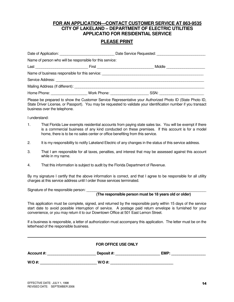#### **FOR AN APPLICATION—CONTACT CUSTOMER SERVICE AT 863-9535 CITY OF LAKELAND – DEPARTMENT OF ELECTRIC UTILITIES APPLICATIO FOR RESIDENTIAL SERVICE**

#### **PLEASE PRINT**

|                              | Name of person who will be responsible for this service:        |                                                                                                                                                                                                                                |  |
|------------------------------|-----------------------------------------------------------------|--------------------------------------------------------------------------------------------------------------------------------------------------------------------------------------------------------------------------------|--|
|                              |                                                                 | Middle<br>First _______________________                                                                                                                                                                                        |  |
|                              |                                                                 | Name of business responsible for this service: example and an article of the service of the service of the service of the service of the service of the service of the service of the service of the service of the service of |  |
|                              |                                                                 |                                                                                                                                                                                                                                |  |
|                              | Mailing Address (If different): Mailing Address (If different): |                                                                                                                                                                                                                                |  |
| Home Phone: ________________ | Work Phone:                                                     | SSN:                                                                                                                                                                                                                           |  |

Please be prepared to show the Customer Service Representative your Authorized Photo ID (State Photo ID, State Driver License, or Passport). You may be requested to validate your identification number if you transact business over the telephone.

I understand:

- 1. That Florida Law exempts residential accounts from paying state sales tax. You will be exempt if there is a commercial business of any kind conducted on these premises. If this account is for a model home, there is to be no sales center or office benefiting from this service.
- 2. It is my responsibility to notify Lakeland Electric of any changes in the status of this service address.
- 3. That I am responsible for all taxes, penalties, and interest that may be assessed against this account while in my name.
- 4. That this information is subject to audit by the Florida Department of Revenue.

By my signature I certify that the above information is correct, and that I agree to be responsible for all utility charges at this service address until I order those services terminated.

Signature of the responsible person:

#### **(The responsible person must be 18 years old or older)**

This application must be complete, signed, and returned by the responsible party within 15 days of the service start date to avoid possible interruption of service. A postage paid return envelope is furnished for your convenience, or you may return it to our Downtown Office at 501 East Lemon Street.

If a business is responsible, a letter of authorization must accompany this application. The letter must be on the letterhead of the responsible business.

**\_\_\_\_\_\_\_\_\_\_\_\_\_\_\_\_\_\_\_\_\_\_\_\_\_\_\_\_\_\_\_\_\_\_\_\_\_\_\_\_\_\_\_\_\_\_\_\_\_\_\_\_\_\_\_\_\_\_\_\_\_\_\_\_\_\_\_\_\_\_\_\_\_\_\_\_\_\_\_\_\_\_\_\_\_\_\_\_**

|  | <b>FOR OFFICE USE ONLY</b> |
|--|----------------------------|
|--|----------------------------|

| Account#: | <b>Deposit #:</b> | EMP. |
|-----------|-------------------|------|
|           |                   |      |

**W/O #: \_\_\_\_\_\_\_\_\_\_\_\_\_\_\_\_\_\_\_\_\_\_\_\_\_\_\_\_ W/O #: \_\_\_\_\_\_\_\_\_\_\_\_\_\_\_\_\_\_\_\_\_\_\_\_\_\_\_\_\_\_\_**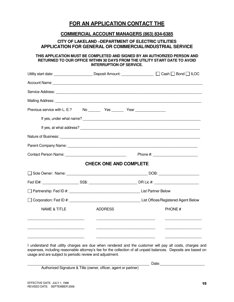### **FOR AN APPLICATION CONTACT THE**

#### **COMMERCIAL ACCOUNT MANAGERS (863) 834-6385**

#### **CITY OF LAKELAND –DEPARTMENT OF ELECTRIC UTILITIES APPLICATION FOR GENERAL OR COMMERCIAL/INDUSTRIAL SERVICE**

#### **THIS APPLICATION MUST BE COMPLETED AND SIGNED BY AN AUTHORIZED PERSON AND RETURNED TO OUR OFFICE WITHIN 30 DAYS FROM THE UTILITY START DATE TO AVOID INTERRUPTION OF SERVICE.**

|                                                                                                                      |                               | Utility start date: _______________________Deposit Amount: __________________ □ Cash □ Bond □ ILOC                   |
|----------------------------------------------------------------------------------------------------------------------|-------------------------------|----------------------------------------------------------------------------------------------------------------------|
|                                                                                                                      |                               |                                                                                                                      |
|                                                                                                                      |                               |                                                                                                                      |
|                                                                                                                      |                               |                                                                                                                      |
| Previous service with L. E.?                                                                                         |                               |                                                                                                                      |
|                                                                                                                      |                               |                                                                                                                      |
|                                                                                                                      |                               |                                                                                                                      |
|                                                                                                                      |                               |                                                                                                                      |
|                                                                                                                      |                               |                                                                                                                      |
|                                                                                                                      |                               |                                                                                                                      |
|                                                                                                                      | <b>CHECK ONE AND COMPLETE</b> |                                                                                                                      |
|                                                                                                                      |                               |                                                                                                                      |
|                                                                                                                      |                               |                                                                                                                      |
|                                                                                                                      |                               |                                                                                                                      |
|                                                                                                                      |                               |                                                                                                                      |
| <b>NAME &amp; TITLE</b>                                                                                              | <b>ADDRESS</b>                | PHONE#                                                                                                               |
| <u> Alexandria de la contrada de la contrada de la contrada de la contrada de la contrada de la contrada de la c</u> |                               | <u> Alexandria de la contrada de la contrada de la contrada de la contrada de la contrada de la contrada de la c</u> |
|                                                                                                                      |                               |                                                                                                                      |

I understand that utility charges are due when rendered and the customer will pay all costs, charges and expenses, including reasonable attorney's fee for the collection of all unpaid balances. Deposits are based on usage and are subject to periodic review and adjustment.

\_\_\_\_\_\_\_\_\_\_\_\_\_\_\_\_\_\_\_\_\_\_\_\_\_\_\_\_\_\_\_\_\_\_\_\_\_\_\_\_\_\_\_\_\_\_\_\_\_\_\_\_\_\_\_\_\_\_\_\_ Date:\_\_\_\_\_\_\_\_\_\_\_\_\_\_\_\_\_\_\_\_\_\_

Authorized Signature & Title (owner, officer, agent or partner)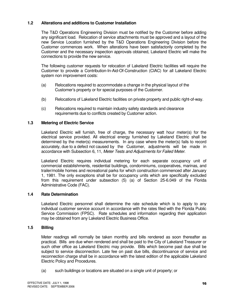#### **1.2 Alterations and additions to Customer Installation**

 The T&D Operations Engineering Division must be notified by the Customer before adding any significant load. Relocation of service attachments must be approved and a layout of the new Service Location furnished by the T&D Operations Engineering Division before the Customer commences work. When alterations have been satisfactorily completed by the Customer and the necessary inspection approvals obtained, Lakeland Electric will make the connections to provide the new service.

 The following customer requests for relocation of Lakeland Electric facilities will require the Customer to provide a Contribution-In-Aid-Of-Construction (CIAC) for all Lakeland Electric system non improvement costs:

- (a) Relocations required to accommodate a change in the physical layout of the Customer's property or for special purposes of the Customer.
- (b) Relocations of Lakeland Electric facilities on private property and public right-of-way.
- (c) Relocations required to maintain industry safety standards and clearance requirements due to conflicts created by Customer action.

#### **1.3 Metering of Electric Service**

Lakeland Electric will furnish, free of charge, the necessary watt hour meter(s) for the electrical service provided. All electrical energy furnished by Lakeland Electric shall be determined by the meter(s) measurements. In any case where the meter(s) fails to record accurately, due to a defect not caused by the Customer, adjustments will be made in accordance with Subsection 6, 11, Meter Tests and Adjustments for Failed Meter.

Lakeland Electric requires individual metering for each separate occupancy unit of commercial establishments, residential buildings, condominiums, cooperatives, marinas, and trailer/mobile homes and recreational parks for which construction commenced after January 1, 1981. The only exceptions shall be for occupancy units which are specifically excluded from this requirement under subsection (5) (a) of Section 25-6.049 of the Florida Administrative Code (FAC).

#### **1.4 Rate Determination**

 Lakeland Electric personnel shall determine the rate schedule which is to apply to any individual customer service account in accordance with the rates filed with the Florida Public Service Commission (FPSC). Rate schedules and information regarding their application may be obtained from any Lakeland Electric Business Office.

#### **1.5 Billing**

 Meter readings will normally be taken monthly and bills rendered as soon thereafter as practical. Bills are due when rendered and shall be paid to the City of Lakeland Treasurer or such other office as Lakeland Electric may provide. Bills which become past due shall be subject to service disconnection. Late fee on past due bills, discontinuance of service and reconnection charge shall be in accordance with the latest edition of the applicable Lakeland Electric Policy and Procedures.

(a) such buildings or locations are situated on a single unit of property; or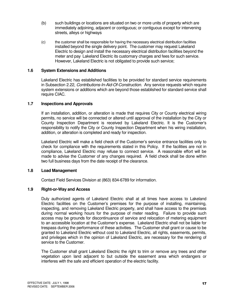- (b) such buildings or locations are situated on two or more units of property which are immediately adjoining, adjacent or contiguous; or contiguous except for intervening streets, alleys or highways
- (c) the customer shall be responsible for having the necessary electrical distribution facilities installed beyond the single delivery point. The customer may request Lakeland Electric to design and install the necessary electrical distribution facilities beyond the meter and pay Lakeland Electric its customary charges and fees for such service. However, Lakeland Electric is not obligated to provide such service;

#### **1.6 System Extensions and Additions**

Lakeland Electric has established facilities to be provided for standard service requirements in Subsection 2.22, Contributions-In-Aid-Of-Construction. Any service requests which require system extensions or additions which are beyond those established for standard service shall require CIAC.

#### **1.7 Inspections and Approvals**

If an installation, addition, or alteration is made that requires City or County electrical wiring permits, no service will be connected or altered until approval of the installation by the City or County Inspection Department is received by Lakeland Electric. It is the Customer's responsibility to notify the City or County Inspection Department when his wiring installation, addition, or alteration is completed and ready for inspection.

 Lakeland Electric will make a field check of the Customer's service entrance facilities only to check for compliance with the requirements stated in this Policy. If the facilities are not in compliance, Lakeland Electric may refuse to connect service. A reasonable effort will be made to advise the Customer of any changes required. A field check shall be done within two full business days from the date receipt of the clearance.

#### **1.8 Load Management**

Contact Field Services Division at (863) 834-6789 for information.

#### **1.9 Right-or-Way and Access**

Duly authorized agents of Lakeland Electric shall at all times have access to Lakeland Electric facilities on the Customer's premises for the purpose of installing, maintaining, inspecting, and removing Lakeland Electric property, and shall have access to the premises during normal working hours for the purpose of meter reading. Failure to provide such access may be grounds for discontinuance of service and relocation of metering equipment to an accessible location at the Customer's expense. Lakeland Electric shall not be liable for trespass during the performance of these activities. The Customer shall grant or cause to be granted to Lakeland Electric without cost to Lakeland Electric, all rights, easements, permits, and privileges which in the opinion of Lakeland Electric, are necessary for the rendering of service to the Customer.

 The Customer shall grant Lakeland Electric the right to trim or remove any trees and other vegetation upon land adjacent to but outside the easement area which endangers or interferes with the safe and efficient operation of the electric facility.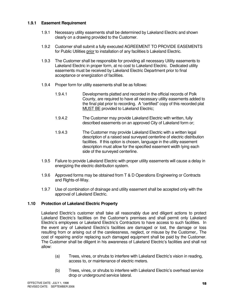#### **1.9.1 Easement Requirement**

- 1.9.1 Necessary utility easements shall be determined by Lakeland Electric and shown clearly on a drawing provided to the Customer.
- 1.9.2 Customer shall submit a fully executed AGREEMENT TO PROVIDE EASEMENTS for Public Utilities prior to installation of any facilities b Lakeland Electric.
- 1.9.3 The Customer shall be responsible for providing all necessary Utility easements to Lakeland Electric in proper form, at no cost to Lakeland Electric. Dedicated utility easements must be received by Lakeland Electric Department prior to final acceptance or energization of facilities.
- 1.9.4 Proper form for utility easements shall be as follows:
	- 1.9.4.1 Developments platted and recorded in the official records of Polk County, are required to have all necessary utility easements added to the final plat prior to recording. A "certified" copy of this recorded plat MUST BE provided to Lakeland Electric;
	- 1.9.4.2 The Customer may provide Lakeland Electric with written, fully described easements on an approved City of Lakeland form or;
	- 1.9.4.3 The Customer may provide Lakeland Electric with a written legal description of a raised seal surveyed centerline of electric distribution facilities. If this option is chosen, language in the utility easement description must allow for the specified easement width lying each side of the surveyed centerline.
- 1.9.5 Failure to provide Lakeland Electric with proper utility easements will cause a delay in energizing the electric distribution system.
- 1.9.6 Approved forms may be obtained from T & D Operations Engineering or Contracts and Rights-of-Way.
- 1.9.7 Use of combination of drainage and utility easement shall be accepted only with the approval of Lakeland Electric.

#### **1.10 Protection of Lakeland Electric Property**

Lakeland Electric's customer shall take all reasonably due and diligent actions to protect Lakeland Electric's facilities on the Customer's premises and shall permit only Lakeland Electric's employees or Lakeland Electric's Contractors to have access to such facilities. In the event any of Lakeland Electric's facilities are damaged or lost, the damage or loss resulting from or arising out of the carelessness, neglect, or misuse by the Customer,. The cost of repairing and/or replacing such damaged equipment shall be paid by the Customer. The Customer shall be diligent in his awareness of Lakeland Electric's facilities and shall not allow:

- (a) Trees, vines, or shrubs to interfere with Lakeland Electric's vision in reading, access to, or maintenance of electric meters.
- (b) Trees, vines, or shrubs to interfere with Lakeland Electric's overhead service drop or underground service lateral.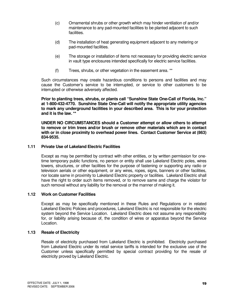- (c) Ornamental shrubs or other growth which may hinder ventilation of and/or maintenance to any pad-mounted facilities to be planted adjacent to such facilities.
- (d) The installation of heat generating equipment adjacent to any metering or pad-mounted facilities.
- (e) The storage or installation of items not necessary for providing electric service in vault type enclosures intended specifically for electric service facilities.
- (f) Trees, shrubs, or other vegetation in the easement area. \*\*

 Such circumstances may create hazardous conditions to persons and facilities and may cause the Customer's service to be interrupted, or service to other customers to be interrupted or otherwise adversely affected.

 **Prior to planting trees, shrubs, or plants call "Sunshine State One-Call of Florida, Inc." at 1-800-432-4770. Sunshine State One-Call will notify the appropriate utility agencies to mark any underground facilities in your described area. This is for your protection and it is the law. \*\*** 

 **UNDER NO CIRCUMSTANCES should a Customer attempt or allow others to attempt to remove or trim trees and/or brush or remove other materials which are in contact with or in close proximity to overhead power lines. Contact Customer Service at (863) 834-9535.** 

#### **1.11 Private Use of Lakeland Electric Facilities**

 Except as may be permitted by contract with other entities, or by written permission for one time temporary public functions, no person or entity shall use Lakeland Electric poles, wires towers, structures, or other facilities for the purpose of fastening or supporting any radio or television aerials or other equipment, or any wires, ropes, signs, banners or other facilities, nor locate same in proximity to Lakeland Electric property or facilities. Lakeland Electric shall have the right to order such items removed, or to remove same and charge the violator for such removal without any liability for the removal or the manner of making it.

#### **1.12 Work on Customer Facilities**

Except as may be specifically mentioned in these Rules and Regulations or in related Lakeland Electric Policies and procedures, Lakeland Electric is not responsible for the electric system beyond the Service Location. Lakeland Electric does not assume any responsibility for, or liability arising because of, the condition of wires or apparatus beyond the Service Location.

#### **1.13 Resale of Electricity**

Resale of electricity purchased from Lakeland Electric is prohibited. Electricity purchased from Lakeland Electric under its retail service tariffs is intended for the exclusive use of the Customer unless specifically permitted by special contract providing for the resale of electricity proved by Lakeland Electric.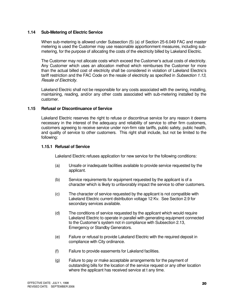#### **1.14 Sub-Metering of Electric Service**

When sub-metering is allowed under Subsection (5) (a) of Section 25-6.049 FAC and master metering is used the Customer may use reasonable apportionment measures, including sub metering, for the purpose of allocating the costs of the electricity billed by Lakeland Electric.

 The Customer may not allocate costs which exceed the Customer's actual costs of electricity. Any Customer which uses an allocation method which reimburses the Customer for more than the actual billed cost of electricity shall be considered in violation of Lakeland Electric's tariff restriction and the FAC Code on the resale of electricity as specified in Subsection 1.13, Resale of Electricity.

 Lakeland Electric shall not be responsible for any costs associated with the owning, installing, maintaining, reading, and/or any other costs associated with sub-metering installed by the customer.

#### **1.15 Refusal or Discontinuance of Service**

Lakeland Electric reserves the right to refuse or discontinue service for any reason it deems necessary in the interest of the adequacy and reliability of service to other firm customers, customers agreeing to receive service under non-firm rate tariffs, public safety, public health, and quality of service to other customers. This right shall include, but not be limited to the following:

#### **1.15.1 Refusal of Service**

Lakeland Electric refuses application for new service for the following conditions:

- (a) Unsafe or inadequate facilities available to provide service requested by the applicant.
- (b) Service requirements for equipment requested by the applicant is of a character which is likely to unfavorably impact the service to other customers.
- (c) The character of service requested by the applicant is not compatible with Lakeland Electric current distribution voltage 12 Kv. See Section 2.9 for secondary services available.
- (d) The conditions of service requested by the applicant which would require Lakeland Electric to operate in parallel with generating equipment connected to the Customer's system not in compliance with Subsection 2.13, Emergency or Standby Generators.
- (e) Failure or refusal to provide Lakeland Electric with the required deposit in compliance with City ordinance.
- (f) Failure to provide easements for Lakeland facilities.
- (g) Failure to pay or make acceptable arrangements for the payment of outstanding bills for the location of the service request or any other location where the applicant has received service at t any time.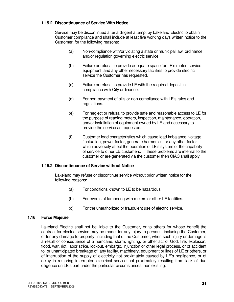#### **1.15.2 Discontinuance of Service With Notice**

Service may be discontinued after a diligent attempt by Lakeland Electric to obtain Customer compliance and shall include at least five working days written notice to the Customer, for the following reasons:

- (a) Non-compliance with/or violating a state or municipal law, ordinance, and/or regulation governing electric service.
- (b) Failure or refusal to provide adequate space for LE's meter, service equipment, and any other necessary facilities to provide electric service the Customer has requested.
- (c) Failure or refusal to provide LE with the required deposit in compliance with City ordinance.
- (d) For non-payment of bills or non-compliance with LE's rules and regulations.
- (e) For neglect or refusal to provide safe and reasonable access to LE for the purpose of reading meters, inspection, maintenance, operation, and/or installation of equipment owned by LE and necessary to provide the service as requested.
- (f) Customer load characteristics which cause load imbalance, voltage fluctuation, power factor, generate harmonics, or any other factor which adversely affect the operation of LE's system or the capability of service to other LE customers. If these problems are internal to the customer or are generated via the customer then CIAC shall apply.

#### **1.15.2 Discontinuance of Service without Notice**

Lakeland may refuse or discontinue service without prior written notice for the following reasons:

- (a) For conditions known to LE to be hazardous.
- (b) For events of tampering with meters or other LE facilities.
- (c) For the unauthorized or fraudulent use of electric service.

#### **1.16 Force Majeure**

Lakeland Electric shall not be liable to the Customer, or to others for whose benefit the contract for electric service may be made, for any injury to persons, including the Customer, or for any damage to property, including that of the Customer, when such injury or damage is a result or consequence of a hurricane, storm, lighting, or other act of God, fire, explosion, flood, war, riot, labor strike, lockout, embargo, injunction or other legal process, or of accident to, or unanticipated breakage of, any facility, machinery, equipment or lines of LE or others, or of interruption of the supply of electricity not proximately caused by LE's negligence, or of delay in restoring interrupted electrical service not proximately resulting from lack of due diligence on LE's part under the particular circumstances then existing.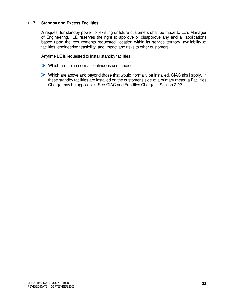#### **1.17 Standby and Excess Facilities**

 A request for standby power for existing or future customers shall be made to LE's Manager of Engineering. LE reserves the right to approve or disapprove any and all applications based upon the requirements requested, location within its service territory, availability of facilities, engineering feasibility, and impact and risks to other customers.

Anytime LE is requested to install standby facilities:

- Which are not in normal continuous use, and/or
- Which are above and beyond those that would normally be installed, CIAC shall apply. If these standby facilities are installed on the customer's side of a primary meter, a Facilities Charge may be applicable. See CIAC and Facilities Charge in Section 2.22.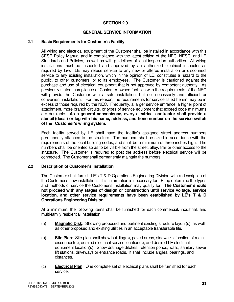#### **SECTION 2.0**

#### **GENERAL SERVICE INFORMATION**

#### **2.1 Basic Requirements for Customer's Facility**

All wiring and electrical equipment of the Customer shall be installed in accordance with this SESR Policy Manual and in compliance with the latest edition of the NEC, NESC, and LE Standards and Policies, as well as with guidelines of local inspection authorities. All wiring installations must be inspected and approved by an authorized electrical inspector as required by law. LE may refuse service to any new or altered installation or disconnect service to any existing installation, which in the opinion of LE, constitutes a hazard to the public, to other customers, or to its employees. The Customer is cautioned against the purchase and use of electrical equipment that is not approved by competent authority. As previously stated, compliance of Customer-owned facilities with the requirements of the NEC will provide the Customer with a safe installation, but not necessarily and efficient or convenient installation. For this reason, the requirements for service listed herein may be in excess of those required by the NEC. Frequently, a larger service entrance, a higher point of attachment, more branch circuits, or types of service equipment that exceed code minimums are desirable. **As a general convenience, every electrical contractor shall provide a stencil (decal) or tag with his name, address, and hone number on the service switch of the Customer's wiring system.**

Each facility served by LE shall have the facility's assigned street address numbers permanently attached to the structure. The numbers shall be sized in accordance with the requirements of the local building codes, and shall be a minimum of three inches high. The numbers shall be oriented so as to be visible from the street, alley, trail or other access to the structure. The Customer is required to post the address before electrical service will be connected. The Customer shall permanently maintain the numbers.

#### **2.2 Description of Customer's Installation**

The Customer shall furnish LE's T & D Operations Engineering Division with a description of the Customer's new installation. This information is necessary for LE top determine the types and methods of service the Customer's installation may qualify for. **The Customer should not proceed with any stages of design or construction until service voltage, service location, and other service requirements have been established by LE's T & D Operations Engineering Division.** 

 At a minimum, the following items shall be furnished for each commercial, industrial, and multi-family residential installation.

- (a) **Magnetic Disk**: Showing proposed and pertinent existing structure layout(s), as well as other proposed and existing utilities in an acceptable transferable file.
- (b) **Site Plan**: Site plan shall show building(s), paved areas, sidewalks, location of main disconnect(s), desired electrical service location(s), and desired LE electrical equipment location(s). Show drainage ditches, retention ponds, walls, sanitary sewer lift stations, driveways or entrance roads. It shall include angles, bearings, and distances.
- (c) **Electrical Plan**: One complete set of electrical plans shall be furnished for each service.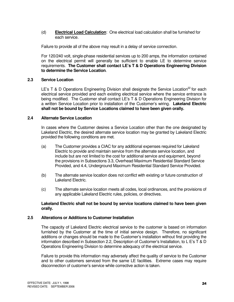(d) **Electrical Load Calculation**: One electrical load calculation shall be furnished for each service.

Failure to provide all of the above may result in a delay of service connection.

 For 120/240 volt, single-phase residential services up to 200 amps, the information contained on the electrical permit will generally be sufficient to enable LE to determine service requirements. **The Customer shall contact LE's T & D Operations Engineering Division to determine the Service Location**.

#### **2.3 Service Location**

LE's T & D Operations Engineering Division shall designate the Service Location<sup>22</sup> for each electrical service provided and each existing electrical service where the service entrance is being modified. The Customer shall contact LE's T & D Operations Engineering Division for a written Service Location prior to installation of the Customer's wiring. **Lakeland Electric shall not be bound by Service Locations claimed to have been given orally.** 

#### **2.4 Alternate Service Location**

In cases where the Customer desires a Service Location other than the one designated by Lakeland Electric, the desired alternate service location may be granted by Lakeland Electric provided the following conditions are met.

- (a) The Customer provides a CIAC for any additional expenses required for Lakeland Electric to provide and maintain service from the alternate service location, and include but are not limited to the cost for additional service and equipment, beyond the provisions in Subsections 3.3, Overhead Maximum Residential Standard Service Provided, and 4.4, Underground Maximum Residential Standard Service Provided.
- (b) The alternate service location does not conflict with existing or future construction of Lakeland Electric.
- (c) The alternate service location meets all codes, local ordinances, and the provisions of any applicable Lakeland Electric rules, policies, or directives.

#### **Lakeland Electric shall not be bound by service locations claimed to have been given orally.**

#### **2.5 Alterations or Additions to Customer Installation**

The capacity of Lakeland Electric electrical service to the customer is based on information furnished by the Customer at the time of initial service design. Therefore, no significant additions or changes should be made to the Customer's installation without first providing the information described in Subsection 2.2, Description of Customer's Installation, to L E's T & D Operations Engineering Division to determine adequacy of the electrical service.

 Failure to provide this information may adversely affect the quality of service to the Customer and to other customers serviced from the same LE facilities. Extreme cases may require disconnection of customer's service while corrective action is taken.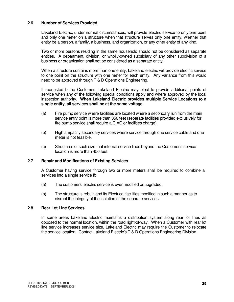#### **2.6 Number of Services Provided**

Lakeland Electric, under normal circumstances, will provide electric service to only one point and only one meter on a structure when that structure serves only one entity, whether that entity be a person, a family, a business, and organization, or any other entity of any kind.

 Two or more persons residing in the same household should not be considered as separate entities. A department, division, or wholly-owned subsidiary of any other subdivision of a business or organization shall not be considered as a separate entity.

When a structure contains more than one entity, Lakeland electric will provide electric service to one point on the structure with one meter for each entity. Any variance from this would need to be approved through T & D Operations Engineering.

 If requested b the Customer, Lakeland Electric may elect to provide additional points of service when any of the following special conditions apply and where approved by the local inspection authority. **When Lakeland Electric provides multiple Service Locations to a single entity, all services shall be at the same voltage.**

- (a) Fire pump service where facilities are located where a secondary run from the main service entry point is more than 350 feet (separate facilities provided exclusively for fire pump service shall require a CIAC or facilities charge).
- (b) High ampacity secondary services where service through one service cable and one meter is not feasible.
- (c) Structures of such size that internal service lines beyond the Customer's service location is more than 450 feet.

#### **2.7 Repair and Modifications of Existing Services**

A Customer having service through two or more meters shall be required to combine all services into a single service if;

- (a) The customers' electric service is ever modified or upgraded.
- (b) The structure is rebuilt and its Electrical facilities modified in such a manner as to disrupt the integrity of the isolation of the separate services.

#### **2.8 Rear Lot Line Services**

In some areas Lakeland Electric maintains a distribution system along rear lot lines as opposed to the normal location, within the road right-of-way. When a Customer with rear lot line service increases service size, Lakeland Electric may require the Customer to relocate the service location. Contact Lakeland Electric's T & D Operations Engineering Division.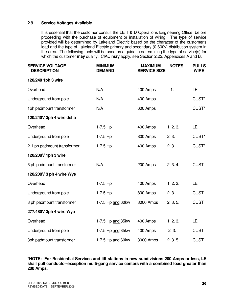#### **2.9 Service Voltages Available**

It is essential that the customer consult the LE T & D Operations Engineering Office before proceeding with the purchase of equipment or installation of wiring. The type of service provided will be determined by Lakeland Electric based on the character of the customer's load and the type of Lakeland Electric primary and secondary (0-600v) distribution system in the area. The following table will be used as a guide in determining the type of service(s) for which the customer **may** qualify. CIAC **may** apply, see Section 2.22, Appendices A and B.

| <b>SERVICE VOLTAGE</b><br><b>DESCRIPTION</b> | <b>MINIMUM</b><br><b>DEMAND</b> | <b>MAXIMUM</b><br><b>SERVICE SIZE</b> | <b>NOTES</b> | <b>PULLS</b><br><b>WIRE</b> |
|----------------------------------------------|---------------------------------|---------------------------------------|--------------|-----------------------------|
| 120/240 1ph 3 wire                           |                                 |                                       |              |                             |
| Overhead                                     | N/A                             | 400 Amps                              | 1.           | LE                          |
| Underground from pole                        | N/A                             | 400 Amps                              |              | CUST*                       |
| 1ph padmount transformer                     | N/A                             | 600 Amps                              |              | CUST*                       |
| 120/240V 3ph 4 wire delta                    |                                 |                                       |              |                             |
| Overhead                                     | $1 - 7.5$ Hp                    | 400 Amps                              | 1.2.3.       | LE.                         |
| Underground from pole                        | $1 - 7.5$ Hp                    | 800 Amps                              | 2.3.         | CUST*                       |
| 2-1 ph padmount transformer                  | $1 - 7.5$ Hp                    | 400 Amps                              | 2.3.         | CUST <sup>*</sup>           |
| 120/208V 1ph 3 wire                          |                                 |                                       |              |                             |
| 3 ph padmount transformer                    | N/A                             | 200 Amps                              | 2.3.4.       | <b>CUST</b>                 |
| 120/208V 3 ph 4 wire Wye                     |                                 |                                       |              |                             |
| Overhead                                     | $1 - 7.5$ Hp                    | 400 Amps                              | 1.2.3.       | LE                          |
| Underground from pole                        | $1 - 7.5$ Hp                    | 800 Amps                              | 2.3.         | <b>CUST</b>                 |
| 3 ph padmount transformer                    | 1-7.5 Hp and 60kw               | 3000 Amps                             | 2.3.5.       | <b>CUST</b>                 |
| 277/480V 3ph 4 wire Wye                      |                                 |                                       |              |                             |
| Overhead                                     | 1-7.5 Hp and 35kw               | 400 Amps                              | 1.2.3.       | LE                          |
| Underground from pole                        | 1-7.5 Hp and 35kw               | 400 Amps                              | 2.3.         | <b>CUST</b>                 |
| 3ph padmount transformer                     | 1-7.5 Hp and 60kw               | 3000 Amps                             | 2.3.5.       | <b>CUST</b>                 |

**\*NOTE: For Residential Services and lift stations in new subdivisions 200 Amps or less, LE shall pull conductor-exception multi-gang service centers with a combined load greater than 200 Amps.**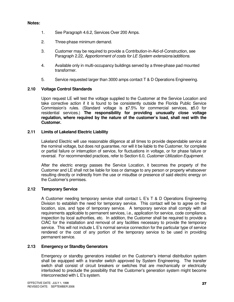#### **Notes:**

- 1. See Paragraph 4.6.2, Services Over 200 Amps.
- 2. Three-phase minimum demand.
- 3. Customer may be required to provide a Contribution-in-Aid-of-Construction, see Paragraph 2.22, Apportionment of costs for LE System extensions/additions.
- 4. Available only in multi-occupancy buildings served by a three-phase pad mounted transformer.
- 5. Service requested larger than 3000 amps contact T & D Operations Engineering.

#### **2.10 Voltage Control Standards**

Upon request LE will test the voltage supplied to the Customer at the Service Location and take corrective action if it is found to be consistently outside the Florida Public Service Commission's rules. (Standard voltage is **±**7.5% for commercial services, **±**5.0 for residential services.) **The responsibility for providing unusually close voltage regulation, where required by the nature of the customer's load, shall rest with the Customer.** 

#### **2.11 Limits of Lakeland Electric Liability**

Lakeland Electric will use reasonable diligence at all times to provide dependable service at the nominal voltage, but does not guarantee, nor will it be liable to the Customer, for complete or partial failure or interruption of service, for fluctuations in voltage, or for phase failure or reversal. For recommended practices, refer to Section 6.0, Customer Utilization Equipment.

After the electric energy passes the Service Location, it becomes the property of the Customer and LE shall not be liable for loss or damage to any person or property whatsoever resulting directly or indirectly from the use or misu8se or presence of said electric energy on the Customer's premises.

#### **2.12 Temporary Service**

A Customer needing temporary service shall contact L E's T & D Operations Engineering Division to establish the need for temporary service. This contact will be to agree on the location, size, and type of temporary service. A temporary service shall comply with all requirements applicable to permanent services, i.e., application for service, code compliance, inspection by local authorities, etc. In addition, the Customer shall be required to provide a CIAC for the installation and removal of any facilities necessary to provide the temporary service. This will not include L E's normal service connection for the particular type of service rendered or the cost of any portion of the temporary service to be used in providing permanent service.

#### **2.13 Emergency or Standby Generators**

Emergency or standby generators installed on the Customer's internal distribution system shall be equipped with a transfer switch approved by System Engineering. The transfer switch shall consist of circuit breakers or switches that are mechanically or electrically interlocked to preclude the possibility that the Customer's generation system might become interconnected with L E's system.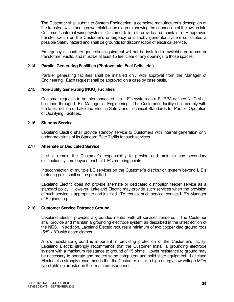The Customer shall submit to System Engineering, a complete manufacturer's description of the transfer switch and a power distribution diagram showing the connection of the switch into Customer's internal wiring system. Customer failure to provide and maintain a LE-approved transfer switch on the Customer's emergency or standby generator system constitutes a possible Safety hazard and shall be grounds for disconnection of electrical service.

 Emergency or auxiliary generation equipment will not be installed in switchboard rooms or transformer vaults, and must be at least 15 feet clear of any openings to those spaces.

#### **2.14 Parallel Generating Facilities (Photovoltaic, Fuel Cells, etc.)**

Parallel generating facilities shall be installed only with approval from the Manager of Engineering. Each request shall be approved on a case by case basis.

#### **2.15 Non-Utility Generating (NUG) Facilities**

Customer requests to be interconnected into L E's system as a PURPA-defined NUG shall be made through L E's Manager of Engineering. The Customer's facility shall comply with the latest edition of Lakeland Electric Safety and Technical Standards for Parallel Operation of Qualifying Facilities.

#### **2.16 Standby Service**

Lakeland Electric shall provide standby service to Customers with internal generation only under provisions of its Standard Rate Tariffs for such services.

#### **2.17 Alternate or Dedicated Service**

It shall remain the Customer's responsibility to provide and maintain any secondary distribution system beyond each of L E's metering points.

 Interconnection of multiple LE services on the Customer's distribution system beyond L E's metering point shall not be permitted.

 Lakeland Electric does not provide alternate or dedicated distribution feeder service as a standard policy. However, Lakeland Electric may provide such services when the provision of such service is appropriate and justified. To request such service, contact L E's Manager of Engineering.

#### **2.18 Customer Service Entrance Ground**

Lakeland Electric provides a grounded neutral with all services rendered. The Customer shall provide and maintain a grounding electrode system as described in the latest edition of the NEC. In addition, Lakeland Electric requires a minimum of two copper clad ground rods (5/8" x 8'0 with acorn clamps.

 A low resistance ground is important in providing protection of the Customer's facility. Lakeland Electric strongly recommends that the Customer install a grounding electrode system with a maximum resistance to ground of 15 ohms. Lower resistance to ground may be necessary to operate and protect some computers and solid state equipment. Lakeland Electric also strongly recommends that the Customer install a high energy, low voltage MOV type lightning arrester on their main breaker panel.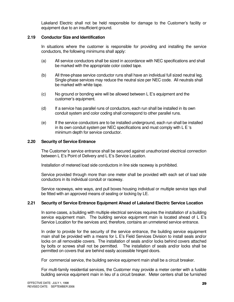Lakeland Electric shall not be held responsible for damage to the Customer's facility or equipment due to an insufficient ground.

#### **2.19 Conductor Size and Identification**

In situations where the customer is responsible for providing and installing the service conductors, the following minimums shall apply:

- (a) All service conductors shall be sized in accordance with NEC specifications and shall be marked with the appropriate color coded tape.
- (b) All three-phase service conductor runs shall have an individual full sized neutral leg. Single-phase services may reduce the neutral size per NEC code. All neutrals shall be marked with white tape.
- (c) No ground or bonding wire will be allowed between L E's equipment and the customer's equipment.
- (d) If a service has parallel runs of conductors, each run shall be installed in its own conduit system and color coding shall correspond to other parallel runs.
- (e) If the service conductors are to be installed underground, each run shall be installed in its own conduit system per NEC specifications and must comply with L E 's minimum depth for service conductor.

#### **2.20 Security of Service Entrance**

The Customer's service entrance shall be secured against unauthorized electrical connection between L E's Point of Delivery and L E's Service Location.

Installation of metered load side conductors in line side raceway is prohibited.

 Service provided through more than one meter shall be provided with each set of load side conductors in its individual conduit or raceway.

 Service raceways, wire ways, and pull boxes housing individual or multiple service taps shall be fitted with an approved means of sealing or locking by LE.

#### **2.21 Security of Service Entrance Equipment Ahead of Lakeland Electric Service Location**

In some cases, a building with multiple electrical services requires the installation of a building service equipment main. The building service equipment main is located ahead of L E's Service Location for the services and, therefore, contains an unmetered service entrance.

 In order to provide for the security of the service entrance, the building service equipment main shall be provided with a means for L E's Field Services Division to install seals and/or locks on all removable covers. The installation of seals and/or locks behind covers attached by bolts or screws shall not be permitted. The installation of seals and/or locks shall be permitted on covers that are behind easily accessible hinged doors.

For commercial service, the building service equipment main shall be a circuit breaker.

 For multi-family residential services, the Customer may provide a meter center with a fusible building service equipment main in lieu of a circuit breaker. Meter centers shall be furnished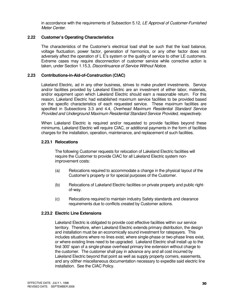in accordance with the requirements of Subsection 5.12, LE Approval of Customer-Furnished Meter Center.

#### **2.22 Customer's Operating Characteristics**

The characteristics of the Customer's electrical load shall be such that the load balance, voltage fluctuation, power factor, generation of harmonics, or any other factor does not adversely affect the operation of L E's system or the quality of service to other LE customers. Extreme cases may require disconnection of customer service while corrective action is taken, under Section 1.15.3, Discontinuance of Service Without Notice.

#### **2.23 Contributions-in-Aid-of-Construction (CIAC)**

Lakeland Electric, ad in any other business, strives to make prudent investments. Service and/or facilities provided by Lakeland Electric are an investment of either labor, materials, and/or equipment upon which Lakeland Electric should earn a reasonable return. For this reason, Lakeland Electric had established maximum service facilities to be provided based on the specific characteristics of each requested service. These maximum facilities are specified in Subsections 3.3 and 4.4, Overhead Maximum Residential Standard Service Provided and Underground Maximum Residential Standard Service Provided, respectively.

 When Lakeland Electric is required and/or requested to provide facilities beyond these minimums, Lakeland Electric will require CIAC, or additional payments in the form of facilities charges for the installation, operation, maintenance, and replacement of such facilities.

#### **2.23.1 Relocations**

The following Customer requests for relocation of Lakeland Electric facilities will require the Customer to provide CIAC for all Lakeland Electric system non improvement costs:

- (a) Relocations required to accommodate a change in the physical layout of the Customer's property or for special purposes of the Customer.
- (b) Relocations of Lakeland Electric facilities on private property and public right of-way.
- (c) Relocations required to maintain industry Safety standards and clearance requirements due to conflicts created by Customer actions.

#### **2.23.2 Electric Line Extensions**

Lakeland Electric is obligated to provide cost effective facilities within our service territory. Therefore, when Lakeland Electric extends primary distribution, the design and installation must be an economically sound investment for ratepayers. This includes situations where no lines exist, where single-phase or two-phase lines exist, or where existing lines need to be upgraded. Lakeland Electric shall install up to the first 300' span of a single-phase overhead primary line extension without charge to the customer. The customer shall pay in advance any and all cost incurred by Lakeland Electric beyond that point as well as supply property corners, easements, and any o0ther miscellaneous documentation necessary to expedite said electric line installation. See the CIAC Policy.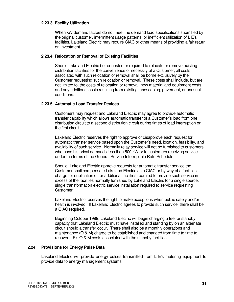#### **2.23.3 Facility Utilization**

When kW demand factors do not meet the demand load specifications submitted by the original customer, intermittent usage patterns, or inefficient utilization of L E's facilities, Lakeland Electric may require CIAC or other means of providing a fair return on investment.

#### **2.23.4 Relocation or Removal of Existing Facilities**

Should Lakeland Electric be requested or required to relocate or remove existing distribution facilities for the convenience or necessity of a Customer, all costs associated with such relocation or removal shall be borne exclusively by the Customer requesting such relocation or removal. These costs shall include, but are not limited to, the costs of relocation or removal, new material and equipment costs, and any additional costs resulting from existing landscaping, pavement, or unusual conditions.

#### **2.23.5 Automatic Load Transfer Devices**

Customers may request and Lakeland Electric may agree to provide automatic transfer capability which allows automatic transfer of a Customer's load from one distribution circuit to a second distribution circuit during times of load interruption on the first circuit.

 Lakeland Electric reserves the right to approve or disapprove each request for automatic transfer service based upon the Customer's need, location, feasibility, and availability of such service. Normally relay service will not be furnished to customers who have historical demands less than 500 kW or to customers receiving service under the terms of the General Service Interruptible Rate Schedule.

 Should Lakeland Electric approve requests for automatic transfer service the Customer shall compensate Lakeland Electric as a CIAC or by way of a facilities charge for duplication of, or additional facilities required to provide such service in excess of the facilities normally furnished by Lakeland Electric for a single source, single transformation electric service installation required to service requesting Customer.

 Lakeland Electric reserves the right to make exceptions when public safety and/or health is involved. If Lakeland Electric agrees to provide such service, there shall be a CIAC required.

 Beginning October 1999, Lakeland Electric will begin charging a fee for standby capacity that Lakeland Electric must have installed and standing by on an alternate circuit should a transfer occur. There shall also be a monthly operations and maintenance (O & M) charge to be established and changed from time to time to recover L E's O & M costs associated with the standby facilities.

#### **2.24 Provisions for Energy Pulse Data**

Lakeland Electric will provide energy pulses transmitted from L E's metering equipment to provide data to energy management systems.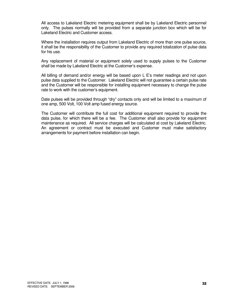All access to Lakeland Electric metering equipment shall be by Lakeland Electric personnel only. The pulses normally will be provided from a separate junction box which will be for Lakeland Electric and Customer access.

 Where the installation requires output from Lakeland Electric of more than one pulse source, it shall be the responsibility of the Customer to provide any required totalization of pulse data for his use.

 Any replacement of material or equipment solely used to supply pulses to the Customer shall be made by Lakeland Electric at the Customer's expense.

 All billing of demand and/or energy will be based upon L E's meter readings and not upon pulse data supplied to the Customer. Lakeland Electric will not guarantee a certain pulse rate and the Customer will be responsible for installing equipment necessary to change the pulse rate to work with the customer's equipment.

 Date pulses will be provided through "dry" contacts only and will be limited to a maximum of one amp, 500 Volt, 100 Volt amp fused energy source.

 The Customer will contribute the full cost for additional equipment required to provide the data pulse, for which there will be a fee. The Customer shall also provide for equipment maintenance as required. All service charges will be calculated at cost by Lakeland Electric. An agreement or contract must be executed and Customer must make satisfactory arrangements for payment before installation can begin.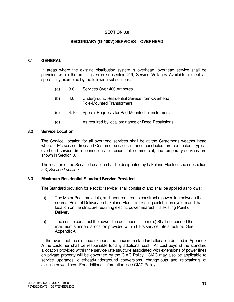#### **SECTION 3.0**

#### **SECONDARY (O-400V) SERVICES – OVERHEAD**

#### **3.1 GENERAL**

 In areas where the existing distribution system is overhead, overhead service shall be provided within the limits given in subsection 2.9, Service Voltages Available, except as specifically exempted by the following subsections:

- (a) 3.8 Services Over 400 Amperes
- (b) 4.6 Underground Residential Service from Overhead Pole-Mounted Transformers
- (c) 4.10 Special Requests for Pad-Mounted Transformers
- (d) As required by local ordinance or Deed Restrictions.

#### **3.2 Service Location**

 The Service Location for all overhead services shall be at the Customer's weather head where L E's service drop and Customer service entrance conductors are connected. Typical overhead service drop connections for residential, commercial, and temporary services are shown in Section 8.

 The location of the Service Location shall be designated by Lakeland Electric, see subsection 2.3, Service Location.

#### **3.3 Maximum Residential Standard Service Provided**

The Standard provision for electric "service" shall consist of and shall be applied as follows:

- (a) The Motor Pool, materials, and labor required to construct a power line between the nearest Point of Delivery on Lakeland Electric's existing distribution system and that location on the structure requiring electric power nearest this existing Point of Delivery.
- (b) The cost to construct the power line described in item (a.) Shall not exceed the maximum standard allocation provided within L E's service rate structure. See Appendix A.

 In the event that the distance exceeds the maximum standard allocation defined in Appendix A the customer shall be responsible for any additional cost. All cost beyond the standard allocation provided within the service rate structure associated with extensions of power lines on private property will be governed by the CIAC Policy. CIAC may also be applicable to service upgrades, overhead/underground conversions, change-outs and relocation's of existing power lines. For additional information, see CIAC Policy.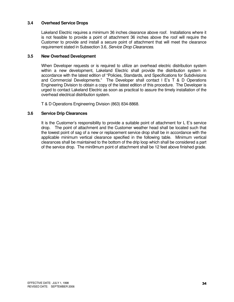#### **3.4 Overhead Service Drops**

Lakeland Electric requires a minimum 36 inches clearance above roof. Installations where it is not feasible to provide a point of attachment 36 inches above the roof will require the Customer to provide and install a secure point of attachment that will meet the clearance requirement stated in Subsection 3.6, Service Drop Clearances.

#### **3.5 New Overhead Development**

When Developer requests or is required to utilize an overhead electric distribution system within a new development, Lakeland Electric shall provide the distribution system in accordance with the latest edition of "Policies, Standards, and Specifications for Subdivisions and Commercial Developments." The Developer shall contact l E's T & D Operations Engineering Division to obtain a copy of the latest edition of this procedure. The Developer is urged to contact Lakeland Electric as soon as practical to assure the timely installation of the overhead electrical distribution system.

T & D Operations Engineering Division (863) 834-8868.

#### **3.6 Service Drip Clearances**

 It is the Customer's responsibility to provide a suitable point of attachment for L E's service drop. The point of attachment and the Customer weather head shall be located such that the lowest point of sag of a new or replacement service drop shall be in accordance with the applicable minimum vertical clearance specified in the following table. Minimum vertical clearances shall be maintained to the bottom of the drip loop which shall be considered a part of the service drop. The mini9mum point of attachment shall be 12 feet above finished grade.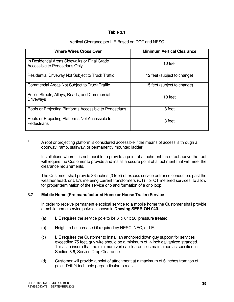#### **Table 3.1**

#### Vertical Clearance per L E Based on DOT and NESC

| <b>Where Wires Cross Over</b>                                                   | <b>Minimum Vertical Clearance</b> |
|---------------------------------------------------------------------------------|-----------------------------------|
| In Residential Areas Sidewalks or Final Grade<br>Accessible to Pedestrians Only | 10 feet                           |
| Residential Driveway Not Subject to Truck Traffic                               | 12 feet (subject to change)       |
| Commercial Areas Not Subject to Truck Traffic                                   | 15 feet (subject to change)       |
| Public Streets, Alleys, Roads, and Commercial<br><b>Driveways</b>               | 18 feet                           |
| Roofs or Projecting Platforms Accessible to Pedestrians <sup>1</sup>            | 8 feet                            |
| Roofs or Projecting Platforms Not Accessible to<br>Pedestrians                  | 3 feet                            |

**1** A roof or projecting platform is considered accessible if the means of access is through a doorway, ramp, stairway, or permanently mounted ladder.

 Installations where it is not feasible to provide a point of attachment three feet above the roof will require the Customer to provide and install a secure point of attachment that will meet the clearance requirements.

 The Customer shall provide 36 inches (3 feet) of excess service entrance conductors past the weather head, or L E's metering current transformers (CT) for CT metered services, to allow for proper termination of the service drip and formation of a drip loop.

#### **3.7 Mobile Home (Pre-manufactured Home or House Trailer) Service**

 In order to receive permanent electrical service to a mobile home the Customer shall provide a mobile home service poke as shown in **Drawing SESR-OH-040.** 

- (a) L E requires the service pole to be 6"  $\times$  6"  $\times$  20' pressure treated.
- (b) Height to be increased if required by NESC, NEC, or LE.
- (c) L E requires the Customer to install an anchored down guy support for services exceeding 75 feet, guy wire should be a minimum of  $\frac{1}{4}$  inch galvanized stranded. This is to insure that the minimum vertical clearance is maintained as specified in Section 3.6, Service Drop Clearance.
- (d) Customer will provide a point of attachment at a maximum of 6 inches from top of pole. Drill ¾ inch hole perpendicular to mast.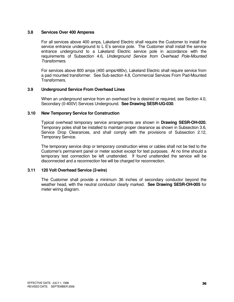#### **3.8 Services Over 400 Amperes**

For all services above 400 amps, Lakeland Electric shall require the Customer to install the service entrance underground to L E's service pole. The Customer shall install the service entrance underground to a Lakeland Electric service pole in accordance with the requirements of Subsection 4.6, Underground Service from Overhead Pole-Mounted Transformers.

 For services above 800 amps (400 amps/480v), Lakeland Electric shall require service from a pad mounted transformer. See Sub-section 4.8, Commercial Services From Pad-Mounted Transformers.

#### **3.9 Underground Service From Overhead Lines**

When an underground service from an overhead line is desired or required, see Section 4.0, Secondary (0-400V) Services Underground. **See Drawing SESR-UG-030**.

#### **3.10 New Temporary Service for Construction**

Typical overhead temporary service arrangements are shown in **Drawing SESR-OH-020.** Temporary poles shall be installed to maintain proper clearance as shown in Subsection 3.6, Service Drop Clearances, and shall comply with the provisions of Subsection 2.12, Temporary Service.

 The temporary service drop or temporary construction wires or cables shall not be tied to the Customer's permanent panel or meter socket except for test purposes. At no time should a temporary test connection be left unattended. If found unattended the service will be disconnected and a reconnection fee will be charged for reconnection.

#### **3.11 120 Volt Overhead Service (2-wire)**

The Customer shall provide a minimum 36 inches of secondary conductor beyond the weather head, with the neutral conductor clearly marked. **See Drawing SESR-OH-005** for meter wiring diagram.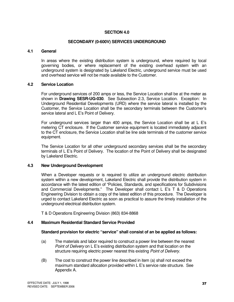#### **SECTION 4.0**

#### **SECONDARY (0-600V) SERVICES UNDERGROUND**

#### **4.1 General**

In areas where the existing distribution system is underground, where required by local governing bodies, or where replacement of the existing overhead system with an underground system is designated by Lakeland Electric, underground service must be used and overhead service will not be made available to the Customer.

#### **4.2 Service Location**

For underground services of 200 amps or less, the Service Location shall be at the meter as shown in **Drawing SESR-UG-030**. See Subsection 2.3, Service Location. Exception: In Underground Residential Developments (URD) where the service lateral is installed by the Customer, the Service Location shall be the secondary terminals between the Customer's service lateral and L E's Point of Delivery.

 For underground services larger than 400 amps, the Service Location shall be at L E's metering CT enclosure. If the Customer service equipment is located immediately adjacent to the CT enclosure, the Service Location shall be line side terminals of the customer service equipment.

 The Service Location for all other underground secondary services shall be the secondary terminals of L E's Point of Delivery. The location of the Point of Delivery shall be designated by Lakeland Electric.

#### **4.3 New Underground Development**

When a Developer requests or is required to utilize an underground electric distribution system within a new development, Lakeland Electric shall provide the distribution system in accordance with the latest edition of "Policies, Standards, and specifications for Subdivisions and Commercial Developments." The Developer shall contact L E's T & D Operations Engineering Division to obtain a copy of the latest edition of this procedure. The Developer is urged to contact Lakeland Electric as soon as practical to assure the timely installation of the underground electrical distribution system.

T & D Operations Engineering Division (863) 834-8868

#### **4.4 Maximum Residential Standard Service Provided**

#### **Standard provision for electric "service" shall consist of an be applied as follows:**

- (a) The materials and labor required to construct a power line between the nearest Point of Delivery on L E's existing distribution system and that location on the structure requiring electric power nearest this existing Point of Delivery.
- (B) The cost to construct the power line described in item (a) shall not exceed the maximum standard allocation provided within L E's service rate structure. See Appendix A.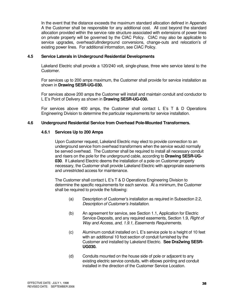In the event that the distance exceeds the maximum standard allocation defined in Appendix A the Customer shall be responsible for any additional cost. All cost beyond the standard allocation provided within the service rate structure associated with extensions of power lines on private property will be governed by the CIAC Policy. CIAC may also be applicable to service upgrades, overhead/u8nderground conversions, change-outs and relocation's of existing power lines. For additional information, see CIAC Policy.

#### **4.5 Service Laterals in Underground Residential Developments**

Lakeland Electric shall provide a 120/240 volt, single-phase, three wire service lateral to the Customer.

 For services up to 200 amps maximum, the Customer shall provide for service installation as shown in **Drawing SESR-UG-030.** 

 For services above 200 amps the Customer will install and maintain conduit and conductor to L E's Point of Delivery as shown in **Drawing SESR-UG-030.** 

For services above 400 amps, the Customer shall contact L E's T & D Operations Engineering Division to determine the particular requirements for service installation.

#### **4.6 Underground Residential Service from Overhead Pole-Mounted Transformers.**

#### **4.6.1 Services Up to 200 Amps**

Upon Customer request, Lakeland Electric may elect to provide connection to an underground service from overhead transformers when the service would normally be served overhead. The Customer shall be required to install all necessary conduit and risers on the pole for the underground cable, according to **Drawing SESR-UG- 030**. If Lakeland Electric deems the installation of a pole on Customer property necessary, the Customer shall provide Lakeland Electric with appropriate easements and unrestricted access for maintenance.

 The Customer shall contact L E's T & D Operations Engineering Division to determine the specific requirements for each service. At a minimum, the Customer shall be required to provide the following:

- (a) Description of Customer's installation as required in Subsection 2.2, Description of Customer's Installation.
- (b) An agreement for service, see Section 1.1, Application for Electric Service-Deposits, and any required easements, Section 1.9, Right of Way and Access, and, 1.9.1, Easements Requirements.
- (c) Aluminum conduit installed on L E's service pole to a height of 10 feet with an additional 10 foot section of conduit furnished by the Customer and installed by Lakeland Electric. **See Dra2wing SESR- UG030.**
- (d) Conduits mounted on the house side of pole or adjacent to any existing electric service conduits, with elbows pointing and conduit installed in the direction of the Customer Service Location.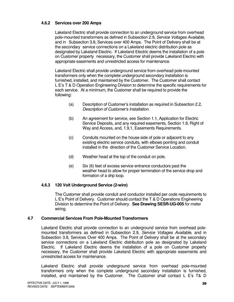#### **4.6.2 Services over 200 Amps**

Lakeland Electric shall provide connection to an underground service from overhead pole-mounted transformers as defined in Subsection 2.9, Service Voltages Available, and in Subsection 3.8, Services over 400 Amps. The Point of Delivery shall be at the secondary service connections on a Lakeland electric distribution pole as designated by Lakeland Electric. If Lakeland Electric deems the installation of a pole on Customer property necessary, the Customer shall provide Lakeland Electric with appropriate easements and unrestricted access for maintenance.

 Lakeland Electric shall provide underground service from overhead pole-mounted transformers only when the complete underground secondary installation is furnished, installed, and maintained by the Customer. The Customer shall contact L E's T & D Operation Engineering Division to determine the specific requirements for each service. At a minimum, the Customer shall be required to provide the following:

- (a) Description of Customer's installation as required in Subsection 2.2, Description of Customer's Installation.
- (b) An agreement for service, see Section 1.1, Application for Electric Service Deposits, and any required easements, Section 1.9, Right of Way and Access, and, 1.9.1, Easements Requirements.
- (c) Conduits mounted on the house side of pole or adjacent to any existing electric service conduits, with elbows pointing and conduit installed in the direction of the Customer Service Location.
- (d) Weather head at the top of the conduit on pole.
- (e) Six (6) feet of excess service entrance conductors past the weather head to allow for proper termination of the service drop and formation of a drip loop.

#### **4.6.3 120 Volt Underground Service (2-wire)**

The Customer shall provide conduit and conductor installed per code requirements to L E's Point of Delivery. Customer should contact the T & D Operations Engineering Division to determine the Point of Delivery. **See Drawing SESR-UG-005** for meter wiring.

#### **4.7 Commercial Services From Pole-Mounted Transformers**

Lakeland Electric shall provide connection to an underground service from overhead pole mounted transformers as defined in Subsection 2.9, Service Voltages Available, and in Subsection 3.8, Services Over 400 Amps. The Point of Delivery shall be at the secondary service connections on a Lakeland Electric distribution pole as designated by Lakeland Electric. If Lakeland Electric deems the installation of a pole on Customer property necessary, the Customer shall provide Lakeland Electric with appropriate easements and unrestricted access for maintenance.

 Lakeland Electric shall provide underground service from overhead pole-mounted transformers only when the complete underground secondary installation is furnished, installed, and maintained by the Customer. The Customer shall contact L E's T& D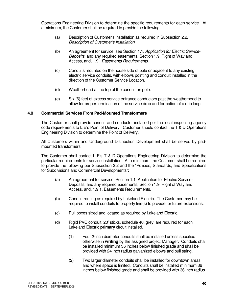Operations Engineering Division to determine the specific requirements for each service. At a minimum, the Customer shall be required to provide the following:

- (a) Description of Customer's installation as required in Subsection 2.2, Description of Customer's Installation.
- (b) An agreement for service, see Section 1.1, Application for Electric Service- Deposits, and any required easements, Section 1.9, Right of Way and Access, and, 1.9., Easements Requirements.
- (c) Conduits mounted on the house side of pole or adjacent to any existing electric service conduits, with elbows pointing and conduit installed in the direction of the Customer Service Location.
- (d) Weatherhead at the top of the conduit on pole.
- (e) Six (6) feet of excess service entrance conductors past the weatherhead to allow for proper termination of the service drop and formation of a drip loop.

#### **4.8 Commercial Services From Pad-Mounted Transformers**

The Customer shall provide conduit and conductor installed per the local inspecting agency code requirements to L E's Point of Delivery. Customer should contact the T & D Operations Engineering Division to determine the Point of Delivery.

 All Customers within and Underground Distribution Development shall be served by pad mounted transformers.

 The Customer shall contact L E's T & D Operations Engineering Division to determine the particular requirements for service installation. At a minimum, the Customer shall be required to provide the following per Subsection 2.2 and the "Policies, Standards, and Specifications for Subdivisions and Commercial Developments":

- (a) An agreement for service, Section 1.1, Application for Electric Service- Deposits, and any required easements, Section 1.9, Right of Way and Access, and, 1.9.1, Easements Requirements.
- (b) Conduit routing as required by Lakeland Electric. The Customer may be required to install conduits to property line(s) to provide for future extensions.
- (c) Pull boxes sized and located as required by Lakeland Electric.
- (d) Rigid PVC conduit, 20' sticks, schedule 40, grey, are required for each Lakeland Electric **primary** circuit installed.
	- (1) Four 2-inch diameter conduits shall be installed unless specified otherwise in **writing** by the assigned project Manager. Conduits shall be installed minimum 36 inches below finished grade and shall be provided with 24 inch radius galvanized elbows and pull string.
	- (2) Two larger diameter conduits shall be installed for downtown areas and where space is limited. Conduits shall be installed minimum 36 inches below finished grade and shall be provided with 36 inch radius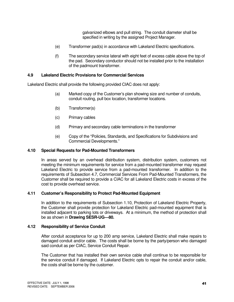galvanized elbows and pull string. The conduit diameter shall be specified in writing by the assigned Project Manager.

- (e) Transformer pad(s) in accordance with Lakeland Electric specifications.
- (f) The secondary service lateral with eight feet of excess cable above the top of the pad. Secondary conductor should not be installed prior to the installation of the padmount transformer.

#### **4.9 Lakeland Electric Provisions for Commercial Services**

Lakeland Electric shall provide the following provided CIAC does not apply:

- (a) Marked copy of the Customer's plan showing size and number of conduits, conduit routing, pull box location, transformer locations.
- (b) Transformer(s)
- (c) Primary cables
- (d) Primary and secondary cable terminations in the transformer
- (e) Copy of the "Policies, Standards, and Specifications for Subdivisions and Commercial Developments."

#### **4.10 Special Requests for Pad-Mounted Transformers**

In areas served by an overhead distribution system, distribution system, customers not meeting the minimum requirements for service from a pad-mounted transformer may request Lakeland Electric to provide service from a pad-mounted transformer. In addition to the requirements of Subsection 4.7, Commercial Services From Pad-Mounted Transformers, the Customer shall be required to provide a CIAC for all Lakeland Electric costs in excess of the cost to provide overhead service.

#### **4.11 Customer's Responsibility to Protect Pad-Mounted Equipment**

In addition to the requirements of Subsection 1.10, Protection of Lakeland Electric Property, the Customer shall provide protection for Lakeland Electric pad-mounted equipment that is installed adjacent to parking lots or driveways. At a minimum, the method of protection shall be as shown in **Drawing SESR-UG—80.** 

#### **4.12 Responsibility of Service Conduit**

After conduit acceptance for up to 200 amp service, Lakeland Electric shall make repairs to damaged conduit and/or cable. The costs shall be borne by the party/person who damaged said conduit as per CIAC, Service Conduit Repair.

 The Customer that has installed their own service cable shall continue to be responsible for the service conduit if damaged. If Lakeland Electric opts to repair the conduit and/or cable, the costs shall be borne by the customer.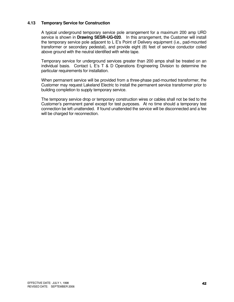#### **4.13 Temporary Service for Construction**

A typical underground temporary service pole arrangement for a maximum 200 amp URD service is shown in **Drawing SESR-UG-020**. In this arrangement, the Customer will install the temporary service pole adjacent to L E's Point of Delivery equipment (i.e., pad-mounted transformer or secondary pedestal), and provide eight (8) feet of service conductor coiled above ground with the neutral identified with white tape.

 Temporary service for underground services greater than 200 amps shall be treated on an individual basis. Contact L E's T & D Operations Engineering Division to determine the particular requirements for installation.

 When permanent service will be provided from a three-phase pad-mounted transformer, the Customer may request Lakeland Electric to install the permanent service transformer prior to building completion to supply temporary service.

 The temporary service drop or temporary construction wires or cables shall not be tied to the Customer's permanent panel except for test purposes. At no time should a temporary test connection be left unattended. If found unattended the service will be disconnected and a fee will be charged for reconnection.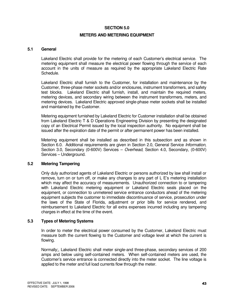#### **SECTION 5.0**

#### **METERS AND METERING EQUIPMENT**

#### **5.1 General**

Lakeland Electric shall provide for the metering of each Customer's electrical service. The metering equipment shall measure the electrical power flowing through the service of each account in the units of measure as required by the appropriate Lakeland Electric Rate Schedule.

 Lakeland Electric shall furnish to the Customer, for installation and maintenance by the Customer, three-phase meter sockets and/or enclosures, instrument transformers, and safety test blocks. Lakeland Electric shall furnish, install, and maintain the required meters, metering devices, and secondary wiring between the instrument transformers, meters, and metering devices. Lakeland Electric approved single-phase meter sockets shall be installed and maintained by the Customer.

 Metering equipment furnished by Lakeland Electric for Customer installation shall be obtained from Lakeland Electric T & D Operations Engineering Division by presenting the designated copy of an Electrical Permit issued by the local inspection authority. No equipment shall be issued after the expiration date of the permit or after permanent power has been installed.

 Metering equipment shall be installed as described in this subsection and as shown in Section 6.0. Additional requirements are given in Section 2.0, General Service Information, Section 3.0, Secondary (0-600V) Services – Overhead, Section 4.0, Secondary, (0-600V) Services – Underground.

#### **5.2 Metering Tampering**

Only duly authorized agents of Lakeland Electric or persons authorized by law shall install or remove, turn on or turn off, or make any changes to any part of L E's metering installation which may affect the accuracy of measurements. Unauthorized connection to or tampering with Lakeland Electric metering equipment or Lakeland Electric seals placed on the equipment, or connection to unmetered service entrance conductors ahead of the metering equipment subjects the customer to immediate discontinuance of service, prosecution under the laws of the State of Florida, adjustment or prior bills for service rendered, and reimbursement to Lakeland Electric for all extra expenses incurred including any tampering charges in effect at the time of the event.

#### **5.3 Types of Metering Systems**

 In order to meter the electrical power consumed by the Customer, Lakeland Electric must measure both the current flowing to the Customer and voltage level at which the current is flowing.

 Normally;, Lakeland Electric shall meter single-and three-phase, secondary services of 200 amps and below using self-contained meters. When self-contained meters are used, the Customer's service entrance is connected directly into the meter socket. The line voltage is applied to the meter and full load currents flow through the meter.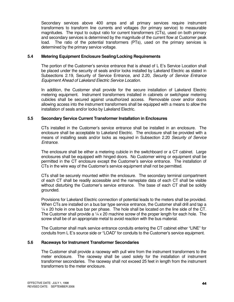Secondary services above 400 amps and all primary services require instrument transformers to transform line currents and voltages (for primary service) to measurable magnitudes. The input to output ratio for current transformers (CTs), used on both primary and secondary services is determined by the magnitude of the current flow at Customer peak load. The ratio of the potential transformers (PTs), used on the primary services is determined by the primary service voltage.

#### **5.4 Metering Equipment Enclosure Sealing/Locking Requirements**

The portion of the Customer's service entrance that is ahead of L E's Service Location shall be placed under the security of seals and/or locks installed by Lakeland Electric as stated in Subsections 2.19, Security of Service Entrance, and 2.20, Security of Service Entrance Equipment Ahead of Lakeland Electric Service Location.

 In addition, the Customer shall provide for the secure installation of Lakeland Electric metering equipment. Instrument transformers installed in cabinets or switchgear metering cubicles shall be secured against unauthorized access. Removable cover and/or doors allowing access into the instrument transformers shall be equipped with a means to allow the installation of seals and/or locks by Lakeland Electric.

#### **5.5 Secondary Service Current Transformer Installation in Enclosures**

CTs installed in the Customer's service entrance shall be installed in an enclosure. The enclosure shall be acceptable to Lakeland Electric. The enclosure shall be provided with a means of installing seals and/or locks as required in Subsection 2.20 Security of Service Entrance.

 The enclosure shall be either a metering cubicle in the switchboard or a CT cabinet. Large enclosures shall be equipped with hinged doors. No Customer wiring or equipment shall be permitted in the CT enclosure except the Customer's service entrance. The installation of CTs in the wire way of the Customer's service equipment shall not be permitted.

 CTs shall be securely mounted within the enclosure. The secondary terminal compartment of each CT shall be readily accessible and the nameplate data of each CT shall be visible without disturbing the Customer's service entrance. The base of each CT shall be solidly grounded.

 Provisions for Lakeland Electric connection of potential leads to the meters shall be provided. When CTs are installed on a bus bar type service entrance, the Customer shall drill and tap a  $\frac{1}{4}$  x 20 hole in one bus bar per phase. The hole shall be located on the line side of the CT. The Customer shall provide a  $\frac{1}{4}$  x 20 machine screw of the proper length for each hole. The screw shall be of an appropriate metal to avoid reaction with the bus material.

 The Customer shall mark service entrance conduits entering the CT cabinet either "LINE" for conduits from L E's source side or "LOAD" for conduits to the Customer's service equipment.

#### **5.6 Raceways for Instrument Transformer Secondaries**

The Customer shall provide a raceway with pull wire from the instrument transformers to the meter enclosure. The raceway shall be used solely for the installation of instrument transformer secondaries. The raceway shall not exceed 25 feet in length from the instrument transformers to the meter enclosure.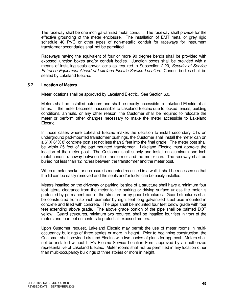The raceway shall be one inch galvanized metal conduit. The raceway shall provide for the effective grounding of the meter enclosure. The installation of EMT metal or grey rigid schedule 40 PVC or other types of non-metallic conduit for raceways for instrument transformer secondaries shall not be permitted.

 Raceways having the equivalent of four or more 90 degree bends shall be provided with exposed junction boxes and/or conduit bodies. Junction boxes shall be provided with a means of installing seals and/or locks as required in Subsection 2.20, Security of Service Entrance Equipment Ahead of Lakeland Electric Service Location. Conduit bodies shall be sealed by Lakeland Electric.

#### **5.7 Location of Meters**

Meter locations shall be approved by Lakeland Electric. See Section 6.0.

 Meters shall be installed outdoors and shall be readily accessible to Lakeland Electric at all times. If the meter becomes inaccessible to Lakeland Electric due to locked fences, building conditions, animals, or any other reason, the Customer shall be required to relocate the meter or perform other changes necessary to make the meter accessible to Lakeland Electric.

 In those cases where Lakeland Electric makes the decision to install secondary CTs on underground pad-mounted transformer bushings, the Customer shall install the meter can on a 6" X 6" X 8' concrete post set not less than 2 feet into the final grade. The meter post shall be within 25 feet of the pad-mounted transformer. Lakeland Electric must approve the location of the meter post. The Customer shall supply and install an aluminum one inch metal conduit raceway between the transformer and the meter can. The raceway shall be buried not less than 12 inches between the transformer and the meter post.

When a meter socket or enclosure is mounted recessed in a wall, it shall be recessed so that the lid can be easily removed and the seals and/or locks can be easily installed.

 Meters installed on the driveway or parking lot side of a structure shall have a minimum four foot lateral clearance from the meter to the parking or driving surface unless the meter is protected by permanent part of the structure or by guard structures. Guard structures shall be constructed from six inch diameter by eight feet long galvanized steel pipe mounted in concrete and filled with concrete. The pipe shall be mounted four feet below grade with four feet extending above grade. The above grade portion of the pipe shall be painted DOT yellow. Guard structures, minimum two required, shall be installed four feet in front of the meters and four feet on centers to protect all exposed meters.

 Upon Customer request, Lakeland Electric may permit the use of meter rooms in multi occupancy buildings of three stories or more in height. Prior to beginning construction, the Customer shall provide Lakeland Electric with two copies of plans for approval. Meters shall not be installed without L E's Electric Service Location Form approved by an authorized representative of Lakeland Electric. Meter rooms shall not be permitted in any location other than multi-occupancy buildings of three stories or more in height.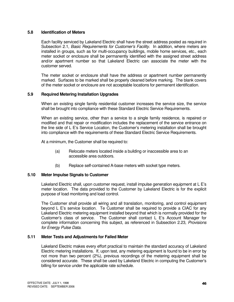#### **5.8 Identification of Meters**

 Each facility serviced by Lakeland Electric shall have the street address posted as required in Subsection 2.1, Basic Requirements for Customer's Facility. In addition, where meters are installed in groups, such as for multi-occupancy buildings, mobile home services, etc., each meter socket or enclosure shall be permanently identified with the assigned street address and/or apartment number so that Lakeland Electric can associate the meter with the customer served.

 The meter socket or enclosure shall have the address or apartment number permanently marked. Surfaces to be marked shall be properly cleaned before marking. The blank covers of the meter socket or enclosure are not acceptable locations for permanent identification.

#### **5.9 Required Metering Installation Upgrades**

When an existing single family residential customer increases the service size, the service shall be brought into compliance with these Standard Electric Service Requirements.

 When an existing service, other than a service to a single family residence, is repaired or modified and that repair or modification includes the replacement of the service entrance on the line side of L E's Service Location, the Customer's metering installation shall be brought into compliance with the requirements of these Standard Electric Service Requirements.

At a minimum, the Customer shall be required to:

- (a) Relocate meters located inside a building or inaccessible area to an accessible area outdoors.
- (b) Replace self-contained A-base meters with socket type meters.

#### **5.10 Meter Impulse Signals to Customer**

Lakeland Electric shall, upon customer request, install impulse generation equipment at L E's meter location. The data provided to the Customer by Lakeland Electric is for the explicit purpose of load monitoring and load control.

 The Customer shall provide all wiring and all translation, monitoring, and control equipment beyond L E's service location. Te Customer shall be required to provide a CIAC for any Lakeland Electric metering equipment installed beyond that which is normally provided for the Customer's class of service. The Customer shall contact L E's Account Manager for complete information concerning this subject, as referenced in Subsection 2.23, Provisions for Energy Pulse Data.

#### **5.11 Meter Tests and Adjustments for Failed Meter**

 Lakeland Electric makes every effort practical to maintain the standard accuracy of Lakeland Electric metering installations. If, upon test, any metering equipment is found to be in error by not more than two percent (2%), previous recordings of the metering equipment shall be considered accurate. These shall be used by Lakeland Electric in computing the Customer's billing for service under the applicable rate schedule.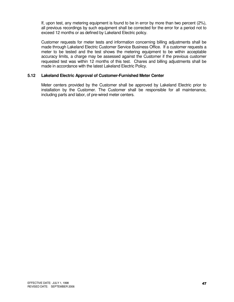If, upon test, any metering equipment is found to be in error by more than two percent (2%), all previous recordings by such equipment shall be corrected for the error for a period not to exceed 12 months or as defined by Lakeland Electric policy.

 Customer requests for meter tests and information concerning billing adjustments shall be made through Lakeland Electric Customer Service Business Office. If a customer requests a meter to be tested and the test shows the metering equipment to be within acceptable accuracy limits, a charge may be assessed against the Customer if the previous customer requested test was within 12 months of this test. Chares and billing adjustments shall be made in accordance with the latest Lakeland Electric Policy.

#### **5.12 Lakeland Electric Approval of Customer-Furnished Meter Center**

Meter centers provided by the Customer shall be approved by Lakeland Electric prior to installation by the Customer. The Customer shall be responsible for all maintenance, including parts and labor, of pre-wired meter centers.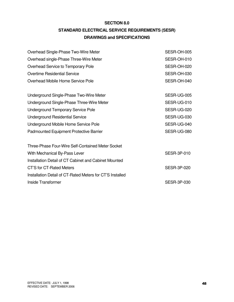### **SECTION 8.0 STANDARD ELECTRICAL SERVICE REQUIREMENTS (SESR) DRAWINGS and SPECIFICATIONS**

| Overhead Single-Phase Two-Wire Meter                      | SESR-OH-005        |
|-----------------------------------------------------------|--------------------|
| Overhead single-Phase Three-Wire Meter                    | SESR-OH-010        |
| Overhead Service to Temporary Pole                        | SESR-OH-020        |
| <b>Overtime Residential Service</b>                       | SESR-OH-030        |
| Overhead Mobile Home Service Pole                         | SESR-OH-040        |
| Underground Single-Phase Two-Wire Meter                   | SESR-UG-005        |
| Underground Single-Phase Three-Wire Meter                 | SESR-UG-010        |
| <b>Underground Temporary Service Pole</b>                 | SESR-UG-020        |
| <b>Underground Residential Service</b>                    | SESR-UG-030        |
| Underground Mobile Home Service Pole                      | SESR-UG-040        |
| <b>Padmounted Equipment Protective Barrier</b>            | SESR-UG-080        |
| Three-Phase Four-Wire Self-Contained Meter Socket         |                    |
| With Mechanical By-Pass Lever                             | <b>SESR-3P-010</b> |
| Installation Detail of CT Cabinet and Cabinet Mounted     |                    |
| <b>CT'S for CT-Rated Meters</b>                           | <b>SESR-3P-020</b> |
| Installation Detail of CT-Rated Meters for CT'S Installed |                    |
| Inside Transformer                                        | <b>SESR-3P-030</b> |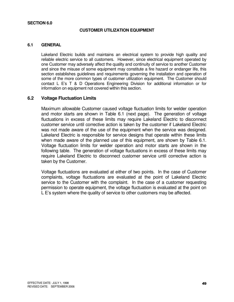#### **SECTION 6.0**

#### **CUSTOMER UTILIZATION EQUIPMENT**

#### **6.1 GENERAL**

Lakeland Electric builds and maintains an electrical system to provide high quality and reliable electric service to all customers. However, since electrical equipment operated by one Customer may adversely affect the quality and continuity of service to another Customer and since the misuse of some equipment may constitute a fire hazard or endanger life, this section establishes guidelines and requirements governing the installation and operation of some of the more common types of customer utilization equipment. The Customer should contact L E's T & D Operations Engineering Division for additional information or for information on equipment not covered within this section.

#### **6.2 Voltage Fluctuation Limits**

Maximum allowable Customer caused voltage fluctuation limits for welder operation and motor starts are shown in Table 6.1 (next page). The generation of voltage fluctuations in excess of these limits may require Lakeland Electric to disconnect customer service until corrective action is taken by the customer if Lakeland Electric was not made aware of the use of the equipment when the service was designed. Lakeland Electric is responsible for service designs that operate within these limits when made aware of the planned use of this equipment, are shown by Table 6.1. Voltage fluctuation limits for welder operation and motor starts are shown in the following table. The generation of voltage fluctuations in excess of these limits may require Lakeland Electric to disconnect customer service until corrective action is taken by the Customer.

 Voltage fluctuations are evaluated at either of two points. In the case of Customer complaints, voltage fluctuations are evaluated at the point of Lakeland Electric service to the Customer with the complaint. In the case of a customer requesting permission to operate equipment, the voltage fluctuation is evaluated at the point on L E's system where the quality of service to other customers may be affected.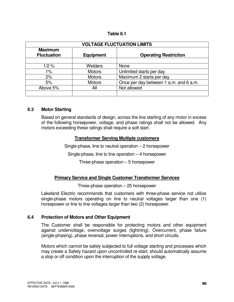#### **Table 6.1**

| <b>VOLTAGE FLUCTUATION LIMITS</b>                        |                |                                        |  |
|----------------------------------------------------------|----------------|----------------------------------------|--|
| <b>Maximum</b><br><b>Fluctuation</b><br><b>Equipment</b> |                | <b>Operating Restriction</b>           |  |
|                                                          |                |                                        |  |
| 1/2%                                                     | <b>Welders</b> | <b>None</b>                            |  |
| $1\%$                                                    | <b>Motors</b>  | Unlimited starts per day               |  |
| 2%                                                       | <b>Motors</b>  | Maximum 2 starts per day               |  |
| 5%                                                       | <b>Motors</b>  | Once per day between 1 a.m. and 6 a.m. |  |
| Above 5%                                                 | All            | Not allowed                            |  |
|                                                          |                |                                        |  |

#### **6.3 Motor Starting**

Based on general standards of design, across the line starting of any motor in excess of the following horsepower, voltage, and phase ratings shall not be allowed. Any motors exceeding these ratings shall require a soft start.

#### **Transformer Serving Multiple customers**

Single-phase, line to neutral operation – 2 horsepower

Single-phase, line to line operation – 4 horsepower

Three-phase operation – 5 horsepower

#### **Primary Service and Single Customer Transformer Services**

Three-phase operation – 25 horsepower

 Lakeland Electric recommends that customers with three-phase service not utilize single-phase motors operating on line to neutral voltages larger than one (1) horsepower or line to line voltages larger than two (2) horsepower.

#### **6.4 Protection of Motors and Other Equipment**

The Customer shall be responsible for protecting motors and other equipment against undervoltage, overvoltage surges (lightning), Overcurrent, phase failure (single-phasing), phase reversal, power interruptions, and short circuits.

 Motors which cannot be safely subjected to full voltage starting and processes which may create a Safety hazard upon uncontrolled re-start, should automatically assume a stop or off condition upon the interruption of the supply voltage.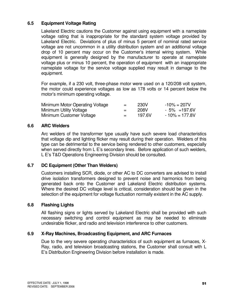#### **6.5 Equipment Voltage Rating**

Lakeland Electric cautions the Customer against using equipment with a nameplate voltage rating that is inappropriate for the standard system voltage provided by Lakeland Electric. Deviations of plus of minus 5 percent of nominal rated service voltage are not uncommon in a utility distribution system and an additional voltage drop of 10 percent may occur on the Customer's internal wiring system. While equipment is generally designed by the manufacturer to operate at nameplate voltage plus or minus 10 percent, the operation of equipment with an inappropriate nameplate voltage for the service voltage supplied may result in damage to the equipment.

 For example, if a 230 volt, three-phase motor were used on a 120/208 volt system, the motor could experience voltages as low as 178 volts or 14 percent below the motor's minimum operating voltage.

| Minimum Motor Operating Voltage | $=$ $-$ | 230V   | $-10\% = 207V$    |
|---------------------------------|---------|--------|-------------------|
| Minimum Utility Voltage         | $=$ $-$ | 208V   | $-5\% = 197.6V$   |
| Minimum Customer Voltage        | $=$ $-$ | 197.6V | $-10\% = 177.8$ V |

#### **6.6 ARC Welders**

Arc welders of the transformer type usually have such severe load characteristics that voltage dip and lighting flicker may result during their operation. Welders of this type can be detrimental to the service being rendered to other customers, especially when served directly from L E's secondary lines. Before application of such welders, L E's T&D Operations Engineering Division should be consulted.

#### **6.7 DC Equipment (Other Than Welders)**

Customers installing SCR, diode, or other AC to DC converters are advised to install drive isolation transformers designed to prevent noise and harmonics from being generated back onto the Customer and Lakeland Electric distribution systems. Where the desired DC voltage level is critical, consideration should be given in the selection of the equipment for voltage fluctuation normally existent in the AC supply.

#### **6.8 Flashing Lights**

All flashing signs or lights served by Lakeland Electric shall be provided with such necessary switching and control equipment as may be needed to eliminate undesirable flicker, and radio and television interference to other customers.

#### **6.9 X-Ray Machines, Broadcasting Equipment, and ARC Furnaces**

Due to the very severe operating characteristics of such equipment as furnaces, X- Ray, radio, and television broadcasting stations, the Customer shall consult with L E's Distribution Engineering Division before installation is made.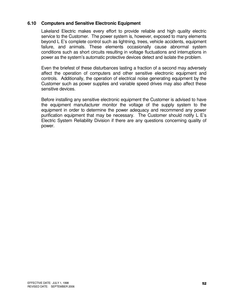#### **6.10 Computers and Sensitive Electronic Equipment**

Lakeland Electric makes every effort to provide reliable and high quality electric service to the Customer. The power system is, however, exposed to many elements beyond L E's complete control such as lightning, trees, vehicle accidents, equipment failure, and animals. These elements occasionally cause abnormal system conditions such as short circuits resulting in voltage fluctuations and interruptions in power as the system's automatic protective devices detect and isolate the problem.

Even the briefest of these disturbances lasting a fraction of a second may adversely affect the operation of computers and other sensitive electronic equipment and controls. Additionally, the operation of electrical noise generating equipment by the Customer such as power supplies and variable speed drives may also affect these sensitive devices.

 Before installing any sensitive electronic equipment the Customer is advised to have the equipment manufacturer monitor the voltage of the supply system to the equipment in order to determine the power adequacy and recommend any power purification equipment that may be necessary. The Customer should notify L E's Electric System Reliability Division if there are any questions concerning quality of power.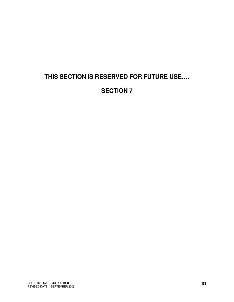## **THIS SECTION IS RESERVED FOR FUTURE USE….**

### **SECTION 7**